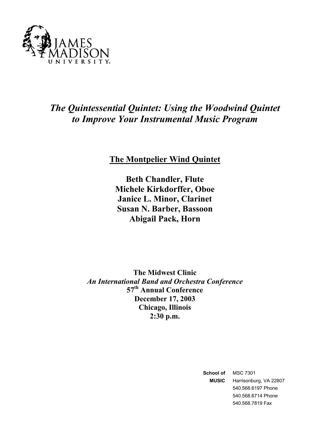

# *The Quintessential Quintet: Using the Woodwind Quintet to Improve Your Instrumental Music Program*

**The Montpelier Wind Quintet**

**Beth Chandler, Flute Michele Kirkdorffer, Oboe Janice L. Minor, Clarinet Susan N. Barber, Bassoon Abigail Pack, Horn** 

**The Midwest Clinic**  *An International Band and Orchestra Conference*  **57th Annual Conference December 17, 2003 Chicago, Illinois 2:30 p.m.** 

> School of MSC 7301 **MUSIC** Harrisonburg, VA 22807 540.568.6197 Phone 540.568.6714 Phone 540.568.7819 Fax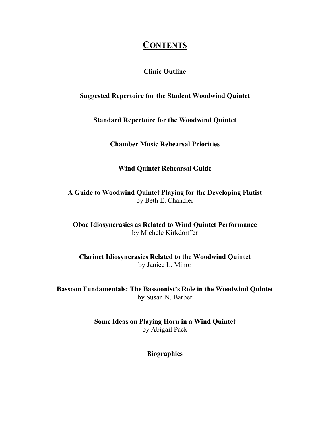# **CONTENTS**

# **Clinic Outline**

# **Suggested Repertoire for the Student Woodwind Quintet**

# **Standard Repertoire for the Woodwind Quintet**

**Chamber Music Rehearsal Priorities** 

**Wind Quintet Rehearsal Guide** 

**A Guide to Woodwind Quintet Playing for the Developing Flutist**  by Beth E. Chandler

**Oboe Idiosyncrasies as Related to Wind Quintet Performance**  by Michele Kirkdorffer

**Clarinet Idiosyncrasies Related to the Woodwind Quintet**  by Janice L. Minor

**Bassoon Fundamentals: The Bassoonist's Role in the Woodwind Quintet**  by Susan N. Barber

> **Some Ideas on Playing Horn in a Wind Quintet**  by Abigail Pack

> > **Biographies**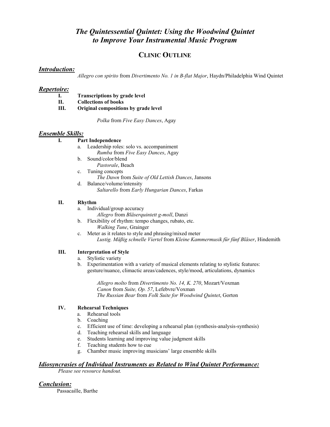# *The Quintessential Quintet: Using the Woodwind Quintet to Improve Your Instrumental Music Program*

# **CLINIC OUTLINE**

#### *Introduction:*

*Allegro con spirito* from *Divertimento No. 1 in B-flat Major*, Haydn/Philadelphia Wind Quintet

#### *Repertoire:*

- **I. Transcriptions by grade level**
- **II. Collections of books**
- **III. Original compositions by grade level**

*Polka* from *Five Easy Dances*, Agay

#### *Ensemble Skills:*

#### **I. Part Independence**

- a. Leadership roles: solo vs. accompaniment *Rumba* from *Five Easy Dances*, Agay
- b. Sound/color/blend *Pastorale*, Beach
- c. Tuning concepts
	- *The Dawn* from *Suite of Old Lettish Dances*, Jansons
- d. Balance/volume/intensity *Saltarello* from *Early Hungarian Dances*, Farkas

#### **II. Rhythm**

# a. Individual/group accuracy

- *Allegro* from *Bläserquintett g-moll*, Danzi
- b. Flexibility of rhythm: tempo changes, rubato, etc. *Walking Tune*, Grainger
- c. Meter as it relates to style and phrasing/mixed meter *Lustig. Mäßig schnelle Viertel* from *Kleine Kammermusik für fünf Bläser*, Hindemith

#### **III. Interpretation of Style**

- a. Stylistic variety
- b. Experimentation with a variety of musical elements relating to stylistic features: gesture/nuance, climactic areas/cadences, style/mood, articulations, dynamics

*Allegro molto* from *Divertimento No. 14, K. 270*, Mozart/Voxman *Canon* from *Suite, Op. 57*, Lefebvre/Voxman *The Russian Bear* from *Folk Suite for Woodwind Quintet*, Gorton

#### **IV. Rehearsal Techniques**

- a. Rehearsal tools
- b. Coaching
- c. Efficient use of time: developing a rehearsal plan (synthesis-analysis-synthesis)
- d. Teaching rehearsal skills and language
- e. Students learning and improving value judgment skills
- f. Teaching students how to cue
- g. Chamber music improving musicians' large ensemble skills

#### *Idiosyncrasies of Individual Instruments as Related to Wind Quintet Performance:*

*Please see resource handout.* 

# *Conclusion:*

Passacaille, Barthe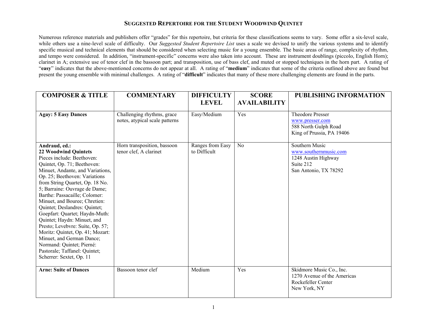# **SUGGESTED REPERTOIRE FOR THE STUDENT WOODWIND QUINTET**

Numerous reference materials and publishers offer "grades" for this repertoire, but criteria for these classifications seems to vary. Some offer a six-level scale, while others use a nine-level scale of difficulty. Our *Suggested Student Repertoire List* uses a scale we devised to unify the various systems and to identify specific musical and technical elements that should be considered when selecting music for a young ensemble. The basic areas of range, complexity of rhythm, and tempo were considered. In addition, "instrument-specific" concerns were also taken into account. These are instrument doublings (piccolo, English Horn); clarinet in A; extensive use of tenor clef in the bassoon part; and transposition, use of bass clef, and muted or stopped techniques in the horn part. A rating of "**easy**" indicates that the above-mentioned concerns do not appear at all. A rating of "**medium**" indicates that some of the criteria outlined above are found but present the young ensemble with minimal challenges. A rating of "**difficult**" indicates that many of these more challenging elements are found in the parts.

| <b>COMPOSER &amp; TITLE</b>                                                                                                                                                                                                                                                                                                                                                                                                                                                                                                                                                                                           | <b>COMMENTARY</b>                                            | <b>DIFFICULTY</b><br><b>LEVEL</b> | <b>SCORE</b><br><b>AVAILABILITY</b> | <b>PUBLISHING INFORMATION</b>                                                                        |
|-----------------------------------------------------------------------------------------------------------------------------------------------------------------------------------------------------------------------------------------------------------------------------------------------------------------------------------------------------------------------------------------------------------------------------------------------------------------------------------------------------------------------------------------------------------------------------------------------------------------------|--------------------------------------------------------------|-----------------------------------|-------------------------------------|------------------------------------------------------------------------------------------------------|
| <b>Agay: 5 Easy Dances</b>                                                                                                                                                                                                                                                                                                                                                                                                                                                                                                                                                                                            | Challenging rhythms, grace<br>notes, atypical scale patterns | Easy/Medium                       | Yes                                 | <b>Theodore Presser</b><br>www.presser.com<br>588 North Gulph Road<br>King of Prussia, PA 19406      |
| Andraud, ed.:<br><b>22 Woodwind Quintets</b><br>Pieces include: Beethoven:<br>Quintet, Op. 71; Beethoven:<br>Minuet, Andante, and Variations,<br>Op. 25; Beethoven: Variations<br>from String Quartet, Op. 18 No.<br>5; Barraine: Ouvrage de Dame;<br>Barthe: Passacaille; Colomer:<br>Minuet, and Bouree; Chretien:<br>Quintet; Deslandres: Quintet;<br>Goepfart: Quartet; Haydn-Muth:<br>Quintet; Haydn: Minuet, and<br>Presto; Levebvre: Suite, Op. 57;<br>Moritz: Quintet, Op. 41; Mozart:<br>Minuet, and German Dance;<br>Normand: Quintet; Pierné:<br>Pastorale; Taffanel: Quintet;<br>Scherrer: Sextet, Op. 11 | Horn transposition, bassoon<br>tenor clef, A clarinet        | Ranges from Easy<br>to Difficult  | No                                  | Southern Music<br>www.southernmusic.com<br>1248 Austin Highway<br>Suite 212<br>San Antonio, TX 78292 |
| <b>Arne: Suite of Dances</b>                                                                                                                                                                                                                                                                                                                                                                                                                                                                                                                                                                                          | Bassoon tenor clef                                           | Medium                            | Yes                                 | Skidmore Music Co., Inc.<br>1270 Avenue of the Americas<br>Rockefeller Center<br>New York, NY        |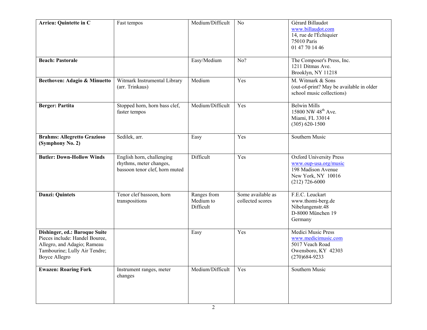| Arrieu: Quintette in C                                                                                                                                  | Fast tempos                                                                            | Medium/Difficult                      | N <sub>0</sub>                        | Gérard Billaudot<br>www.billaudot.com<br>14, rue de l'Échiquier<br>75010 Paris<br>01 47 70 14 46                        |
|---------------------------------------------------------------------------------------------------------------------------------------------------------|----------------------------------------------------------------------------------------|---------------------------------------|---------------------------------------|-------------------------------------------------------------------------------------------------------------------------|
| <b>Beach: Pastorale</b>                                                                                                                                 |                                                                                        | Easy/Medium                           | No?                                   | The Composer's Press, Inc.<br>1211 Ditmas Ave.<br>Brooklyn, NY 11218                                                    |
| Beethoven: Adagio & Minuetto                                                                                                                            | Witmark Instrumental Library<br>(arr. Trinkaus)                                        | Medium                                | Yes                                   | M. Witmark & Sons<br>(out-of-print? May be available in older<br>school music collections)                              |
| <b>Berger: Partita</b>                                                                                                                                  | Stopped horn, horn bass clef,<br>faster tempos                                         | Medium/Difficult                      | Yes                                   | <b>Belwin Mills</b><br>15800 NW 48 <sup>th</sup> Ave.<br>Miami, FL 33014<br>$(305) 620 - 1500$                          |
| <b>Brahms: Allegretto Grazioso</b><br>(Symphony No. 2)                                                                                                  | Sedilek, arr.                                                                          | Easy                                  | Yes                                   | Southern Music                                                                                                          |
| <b>Butler: Down-Hollow Winds</b>                                                                                                                        | English horn, challenging<br>rhythms, meter changes,<br>bassoon tenor clef, horn muted | Difficult                             | Yes                                   | <b>Oxford University Press</b><br>www.oup-usa.org/music<br>198 Madison Avenue<br>New York, NY 10016<br>$(212)$ 726-6000 |
| <b>Danzi: Quintets</b>                                                                                                                                  | Tenor clef bassoon, horn<br>transpositions                                             | Ranges from<br>Medium to<br>Difficult | Some available as<br>collected scores | F.E.C. Leuckart<br>www.thomi-berg.de<br>Nibelungenstr.48<br>D-8000 München 19<br>Germany                                |
| Dishinger, ed.: Baroque Suite<br>Pieces include: Handel Bouree,<br>Allegro, and Adagio; Rameau<br>Tambourine; Lully Air Tendre;<br><b>Boyce Allegro</b> |                                                                                        | Easy                                  | Yes                                   | <b>Medici Music Press</b><br>www.medicimusic.com<br>5017 Veach Road<br>Owensboro, KY 42303<br>$(270)684-9233$           |
| <b>Ewazen: Roaring Fork</b>                                                                                                                             | Instrument ranges, meter<br>changes                                                    | Medium/Difficult                      | Yes                                   | Southern Music                                                                                                          |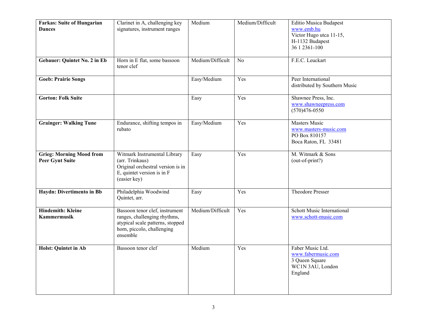| Farkas: Suite of Hungarian<br><b>Dances</b>               | Clarinet in A, challenging key<br>signatures, instrument ranges                                                                              | Medium           | Medium/Difficult | <b>Editio Musica Budapest</b><br>www.emb.hu<br>Victor Hugo utca 11-15,<br>H-1132 Budapest<br>36 1 2361-100 |
|-----------------------------------------------------------|----------------------------------------------------------------------------------------------------------------------------------------------|------------------|------------------|------------------------------------------------------------------------------------------------------------|
| Gebauer: Quintet No. 2 in Eb                              | Horn in E flat, some bassoon<br>tenor clef                                                                                                   | Medium/Difficult | No               | F.E.C. Leuckart                                                                                            |
| <b>Goeb: Prairie Songs</b>                                |                                                                                                                                              | Easy/Medium      | Yes              | Peer International<br>distributed by Southern Music                                                        |
| <b>Gorton: Folk Suite</b>                                 |                                                                                                                                              | Easy             | Yes              | Shawnee Press, Inc.<br>www.shawneepress.com<br>$(570)476 - 0550$                                           |
| <b>Grainger: Walking Tune</b>                             | Endurance, shifting tempos in<br>rubato                                                                                                      | Easy/Medium      | Yes              | <b>Masters Music</b><br>www.masters-music.com<br>PO Box 810157<br>Boca Raton, FL 33481                     |
| <b>Grieg: Morning Mood from</b><br><b>Peer Gynt Suite</b> | Witmark Instrumental Library<br>(arr. Trinkaus)<br>Original orchestral version is in<br>E, quintet version is in F<br>(easier key)           | Easy             | Yes              | M. Witmark & Sons<br>(out-of-print?)                                                                       |
| Haydn: Divertimento in Bb                                 | Philadelphia Woodwind<br>Quintet, arr.                                                                                                       | Easy             | Yes              | <b>Theodore Presser</b>                                                                                    |
| <b>Hindemith: Kleine</b><br>Kammermusik                   | Bassoon tenor clef, instrument<br>ranges, challenging rhythms,<br>atypical scale patterns, stopped<br>horn, piccolo, challenging<br>ensemble | Medium/Difficult | Yes              | <b>Schott Music International</b><br>www.schott-music.com                                                  |
| <b>Holst: Quintet in Ab</b>                               | Bassoon tenor clef                                                                                                                           | Medium           | Yes              | Faber Music Ltd.<br>www.fabermusic.com<br>3 Queen Square<br>WC1N 3AU, London<br>England                    |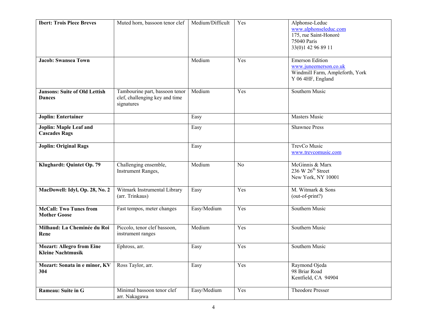| <b>Ibert: Trois Piece Breves</b>                             | Muted horn, bassoon tenor clef                                                 | Medium/Difficult | Yes            | Alphonse-Leduc<br>www.alphonseleduc.com<br>175, rue Saint-Honoré<br>75040 Paris<br>33(0)1 42 96 89 11   |
|--------------------------------------------------------------|--------------------------------------------------------------------------------|------------------|----------------|---------------------------------------------------------------------------------------------------------|
| <b>Jacob: Swansea Town</b>                                   |                                                                                | Medium           | Yes            | <b>Emerson Edition</b><br>www.juneemerson.co.uk<br>Windmill Farm, Ampleforth, York<br>Y 06 4HF, England |
| <b>Jansons: Suite of Old Lettish</b><br><b>Dances</b>        | Tambourine part, bassoon tenor<br>clef, challenging key and time<br>signatures | Medium           | Yes            | Southern Music                                                                                          |
| <b>Joplin: Entertainer</b>                                   |                                                                                | Easy             |                | <b>Masters Music</b>                                                                                    |
| Joplin: Maple Leaf and<br><b>Cascades Rags</b>               |                                                                                | Easy             |                | <b>Shawnee Press</b>                                                                                    |
| <b>Joplin: Original Rags</b>                                 |                                                                                | Easy             |                | <b>TrevCo Music</b><br>www.treycomusic.com                                                              |
| Klughardt: Quintet Op. 79                                    | Challenging ensemble,<br><b>Instrument Ranges,</b>                             | Medium           | N <sub>o</sub> | McGinnis & Marx<br>236 W 26 <sup>th</sup> Street<br>New York, NY 10001                                  |
| MacDowell: Idyl, Op. 28, No. 2                               | Witmark Instrumental Library<br>(arr. Trinkaus)                                | Easy             | Yes            | M. Witmark & Sons<br>(out-of-print?)                                                                    |
| <b>McCall: Two Tunes from</b><br><b>Mother Goose</b>         | Fast tempos, meter changes                                                     | Easy/Medium      | Yes            | Southern Music                                                                                          |
| Milhaud: La Cheminée du Roi<br>Rene                          | Piccolo, tenor clef bassoon,<br>instrument ranges                              | Medium           | Yes            | Southern Music                                                                                          |
| <b>Mozart: Allegro from Eine</b><br><b>Kleine Nachtmusik</b> | Ephross, arr.                                                                  | Easy             | Yes            | Southern Music                                                                                          |
| Mozart: Sonata in e minor, KV<br>304                         | Ross Taylor, arr.                                                              | Easy             | Yes            | Raymond Ojeda<br>98 Briar Road<br>Kentfield, CA 94904                                                   |
| Rameau: Suite in G                                           | Minimal bassoon tenor clef<br>arr. Nakagawa                                    | Easy/Medium      | Yes            | <b>Theodore Presser</b>                                                                                 |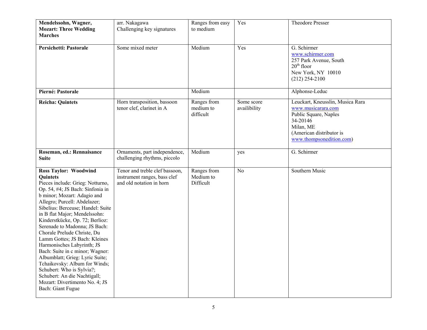| Mendelssohn, Wagner,<br><b>Mozart: Three Wedding</b><br><b>Marches</b>                                                                                                                                                                                                                                                                                                                                                                                                                                                                                                                                                                             | arr. Nakagawa<br>Challenging key signatures                                                | Ranges from easy<br>to medium         | Yes                        | <b>Theodore Presser</b>                                                                                                                                          |
|----------------------------------------------------------------------------------------------------------------------------------------------------------------------------------------------------------------------------------------------------------------------------------------------------------------------------------------------------------------------------------------------------------------------------------------------------------------------------------------------------------------------------------------------------------------------------------------------------------------------------------------------------|--------------------------------------------------------------------------------------------|---------------------------------------|----------------------------|------------------------------------------------------------------------------------------------------------------------------------------------------------------|
| <b>Persichetti: Pastorale</b>                                                                                                                                                                                                                                                                                                                                                                                                                                                                                                                                                                                                                      | Some mixed meter                                                                           | Medium                                | Yes                        | G. Schirmer<br>www.schirmer.com<br>257 Park Avenue, South<br>$20th$ floor<br>New York, NY 10010<br>$(212)$ 254-2100                                              |
| Pierné: Pastorale                                                                                                                                                                                                                                                                                                                                                                                                                                                                                                                                                                                                                                  |                                                                                            | Medium                                |                            | Alphonse-Leduc                                                                                                                                                   |
| <b>Reicha: Quintets</b>                                                                                                                                                                                                                                                                                                                                                                                                                                                                                                                                                                                                                            | Horn transposition, bassoon<br>tenor clef, clarinet in A                                   | Ranges from<br>medium to<br>difficult | Some score<br>availibility | Leuckart, Kneusslin, Musica Rara<br>www.musicarara.com<br>Public Square, Naples<br>34-20146<br>Milan, ME<br>(American distributor is<br>www.thompsonedition.com) |
| Roseman, ed.: Rennaisance<br><b>Suite</b>                                                                                                                                                                                                                                                                                                                                                                                                                                                                                                                                                                                                          | Ornaments, part independence,<br>challenging rhythms, piccolo                              | Medium                                | yes                        | G. Schirmer                                                                                                                                                      |
| <b>Ross Taylor: Woodwind</b><br>Quintets<br>Pieces include: Grieg: Notturno,<br>Op. 54, #4; JS Bach: Sinfonia in<br>b minor; Mozart: Adagio and<br>Allegro; Purcell: Abdelazer;<br>Sibelius: Berceuse; Handel: Suite<br>in B flat Major; Mendelssohn:<br>Kinderstkücke, Op. 72; Berlioz:<br>Serenade to Madonna; JS Bach:<br>Chorale Prelude Christe, Du<br>Lamm Gottes; JS Bach: Kleines<br>Harmonisches Labyrinth; JS<br>Bach: Suite in c minor; Wagner:<br>Albumblatt; Grieg: Lyric Suite;<br>Tchaikovsky: Album for Winds;<br>Schubert: Who is Sylvia?;<br>Schubert: An die Nachtigall;<br>Mozart: Divertimento No. 4; JS<br>Bach: Giant Fugue | Tenor and treble clef bassoon,<br>instrument ranges, bass clef<br>and old notation in horn | Ranges from<br>Medium to<br>Difficult | $\overline{No}$            | Southern Music                                                                                                                                                   |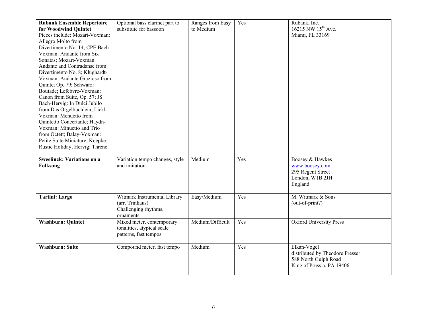| <b>Rubank Ensemble Repertoire</b> | Optional bass clarinet part to | Ranges from Easy | Yes | Rubank, Inc.                    |
|-----------------------------------|--------------------------------|------------------|-----|---------------------------------|
| for Woodwind Quintet              | substitute for bassoon         | to Medium        |     | 16215 NW 15 <sup>th</sup> Ave.  |
| Pieces include: Mozart-Voxman:    |                                |                  |     | Miami, FL 33169                 |
| Allegro Molto from                |                                |                  |     |                                 |
| Divertimento No. 14; CPE Bach-    |                                |                  |     |                                 |
| Voxman: Andante from Six          |                                |                  |     |                                 |
| Sonatas; Mozart-Voxman:           |                                |                  |     |                                 |
| Andante and Contradanse from      |                                |                  |     |                                 |
| Divertimento No. 8; Klughardt-    |                                |                  |     |                                 |
| Voxman: Andante Grazioso from     |                                |                  |     |                                 |
| Quintet Op. 79; Schwarz:          |                                |                  |     |                                 |
| Boutade; Lefebvre-Voxman:         |                                |                  |     |                                 |
| Canon from Suite, Op. 57; JS      |                                |                  |     |                                 |
| Bach-Hervig: In Dulci Jubilo      |                                |                  |     |                                 |
| from Das Orgelbüchlein; Lickl-    |                                |                  |     |                                 |
| Voxman: Menuetto from             |                                |                  |     |                                 |
| Quintetto Concertante; Haydn-     |                                |                  |     |                                 |
| Voxman: Minuetto and Trio         |                                |                  |     |                                 |
| from Octett; Balay-Voxman:        |                                |                  |     |                                 |
| Petite Suite Miniature; Koepke:   |                                |                  |     |                                 |
| Rustic Holiday; Hervig: Threne    |                                |                  |     |                                 |
|                                   |                                |                  |     |                                 |
| <b>Sweelinck: Variations on a</b> | Variation tempo changes, style | Medium           | Yes | Boosey & Hawkes                 |
| Folksong                          | and imitation                  |                  |     | www.boosey.com                  |
|                                   |                                |                  |     | 295 Regent Street               |
|                                   |                                |                  |     | London, W1B 2JH                 |
|                                   |                                |                  |     | England                         |
|                                   |                                |                  |     |                                 |
| <b>Tartini: Largo</b>             | Witmark Instrumental Library   | Easy/Medium      | Yes | M. Witmark & Sons               |
|                                   | (arr. Trinkaus)                |                  |     | (out-of-print?)                 |
|                                   | Challenging rhythms,           |                  |     |                                 |
|                                   | ornaments                      |                  |     |                                 |
| <b>Washburn: Quintet</b>          | Mixed meter, contemporary      | Medium/Difficult | Yes | <b>Oxford University Press</b>  |
|                                   | tonalities, atypical scale     |                  |     |                                 |
|                                   | patterns, fast tempos          |                  |     |                                 |
|                                   |                                |                  |     |                                 |
| <b>Washburn: Suite</b>            | Compound meter, fast tempo     | Medium           | Yes | Elkan-Vogel                     |
|                                   |                                |                  |     | distributed by Theodore Presser |
|                                   |                                |                  |     | 588 North Gulph Road            |
|                                   |                                |                  |     | King of Prussia, PA 19406       |
|                                   |                                |                  |     |                                 |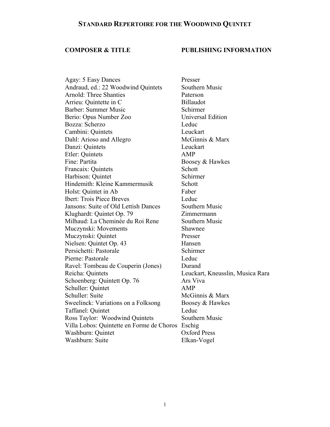#### **COMPOSER & TITLE PUBLISHING INFORMATION**

Agay: 5 Easy Dances Presser Andraud, ed.: 22 Woodwind Quintets Southern Music Arnold: Three Shanties Paterson Arrieu: Quintette in C<br>Billaudot Barber: Summer Music Schirmer Berio: Opus Number Zoo Universal Edition Bozza: Scherzo Leduc Cambini: Quintets Leuckart Dahl: Arioso and Allegro McGinnis & Marx Danzi: Quintets Leuckart Etler: Quintets AMP Fine: Partita Boosey & Hawkes Francaix: Quintets Schott Harbison: Quintet Schirmer Hindemith: Kleine Kammermusik Schott Holst: Quintet in Ab Faber Ibert: Trois Piece Breves Leduc Jansons: Suite of Old Lettish Dances Southern Music Klughardt: Quintet Op. 79 Zimmermann Milhaud: La Cheminée du Roi Rene Southern Music Muczynski: Movements Shawnee Muczynski: Quintet Presser Nielsen: Quintet Op. 43 Hansen Persichetti: Pastorale Schirmer Pierne: Pastorale Leduc Ravel: Tombeau de Couperin (Jones) Durand Reicha: Quintets Leuckart, Kneusslin, Musica Rara Schoenberg: Quintett Op. 76 Ars Viva Schuller: Quintet AMP Schuller: Suite McGinnis & Marx Sweelinck: Variations on a Folksong Boosey & Hawkes Taffanel: Quintet Leduc Ross Taylor: Woodwind Quintets Southern Music Villa Lobos: Quintette en Forme de Choros Eschig Washburn: Quintet **Oxford Press** Washburn: Suite Elkan-Vogel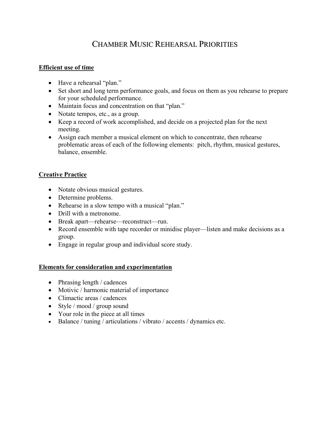# CHAMBER MUSIC REHEARSAL PRIORITIES

# **Efficient use of time**

- Have a rehearsal "plan."
- Set short and long term performance goals, and focus on them as you rehearse to prepare for your scheduled performance.
- Maintain focus and concentration on that "plan."
- Notate tempos, etc., as a group.
- Keep a record of work accomplished, and decide on a projected plan for the next meeting.
- Assign each member a musical element on which to concentrate, then rehearse problematic areas of each of the following elements: pitch, rhythm, musical gestures, balance, ensemble.

# **Creative Practice**

- Notate obvious musical gestures.
- Determine problems.
- Rehearse in a slow tempo with a musical "plan."
- Drill with a metronome.
- Break apart—rehearse—reconstruct—run.
- Record ensemble with tape recorder or minidisc player—listen and make decisions as a group.
- Engage in regular group and individual score study.

# **Elements for consideration and experimentation**

- Phrasing length / cadences
- Motivic / harmonic material of importance
- Climactic areas / cadences
- Style / mood / group sound
- Your role in the piece at all times
- Balance / tuning / articulations / vibrato / accents / dynamics etc.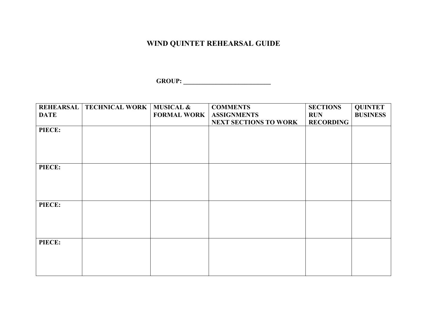# **WIND QUINTET REHEARSAL GUIDE**

**GROUP: \_\_\_\_\_\_\_\_\_\_\_\_\_\_\_\_\_\_\_\_\_\_\_\_\_\_\_** 

| <b>DATE</b> | REHEARSAL TECHNICAL WORK | <b>MUSICAL &amp;</b><br><b>FORMAL WORK</b> | <b>COMMENTS</b><br><b>ASSIGNMENTS</b><br><b>NEXT SECTIONS TO WORK</b> | <b>SECTIONS</b><br><b>RUN</b><br><b>RECORDING</b> | <b>QUINTET</b><br><b>BUSINESS</b> |
|-------------|--------------------------|--------------------------------------------|-----------------------------------------------------------------------|---------------------------------------------------|-----------------------------------|
| PIECE:      |                          |                                            |                                                                       |                                                   |                                   |
| PIECE:      |                          |                                            |                                                                       |                                                   |                                   |
| PIECE:      |                          |                                            |                                                                       |                                                   |                                   |
| PIECE:      |                          |                                            |                                                                       |                                                   |                                   |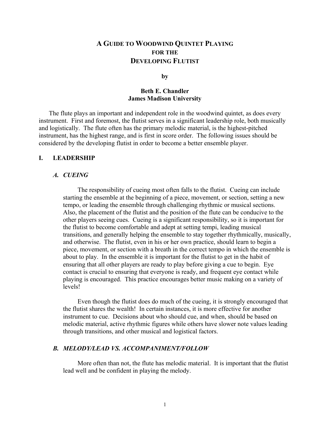# **A GUIDE TO WOODWIND QUINTET PLAYING FOR THE DEVELOPING FLUTIST**

#### **by**

# **Beth E. Chandler James Madison University**

The flute plays an important and independent role in the woodwind quintet, as does every instrument. First and foremost, the flutist serves in a significant leadership role, both musically and logistically. The flute often has the primary melodic material, is the highest-pitched instrument, has the highest range, and is first in score order. The following issues should be considered by the developing flutist in order to become a better ensemble player.

#### **I. LEADERSHIP**

#### *A. CUEING*

The responsibility of cueing most often falls to the flutist. Cueing can include starting the ensemble at the beginning of a piece, movement, or section, setting a new tempo, or leading the ensemble through challenging rhythmic or musical sections. Also, the placement of the flutist and the position of the flute can be conducive to the other players seeing cues. Cueing is a significant responsibility, so it is important for the flutist to become comfortable and adept at setting tempi, leading musical transitions, and generally helping the ensemble to stay together rhythmically, musically, and otherwise. The flutist, even in his or her own practice, should learn to begin a piece, movement, or section with a breath in the correct tempo in which the ensemble is about to play. In the ensemble it is important for the flutist to get in the habit of ensuring that all other players are ready to play before giving a cue to begin. Eye contact is crucial to ensuring that everyone is ready, and frequent eye contact while playing is encouraged. This practice encourages better music making on a variety of levels!

Even though the flutist does do much of the cueing, it is strongly encouraged that the flutist shares the wealth! In certain instances, it is more effective for another instrument to cue. Decisions about who should cue, and when, should be based on melodic material, active rhythmic figures while others have slower note values leading through transitions, and other musical and logistical factors.

# *B. MELODY/LEAD VS. ACCOMPANIMENT/FOLLOW*

More often than not, the flute has melodic material. It is important that the flutist lead well and be confident in playing the melody.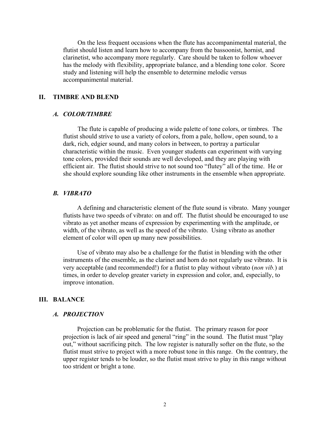On the less frequent occasions when the flute has accompanimental material, the flutist should listen and learn how to accompany from the bassoonist, hornist, and clarinetist, who accompany more regularly. Care should be taken to follow whoever has the melody with flexibility, appropriate balance, and a blending tone color. Score study and listening will help the ensemble to determine melodic versus accompanimental material.

#### **II. TIMBRE AND BLEND**

#### *A. COLOR/TIMBRE*

The flute is capable of producing a wide palette of tone colors, or timbres. The flutist should strive to use a variety of colors, from a pale, hollow, open sound, to a dark, rich, edgier sound, and many colors in between, to portray a particular characteristic within the music. Even younger students can experiment with varying tone colors, provided their sounds are well developed, and they are playing with efficient air. The flutist should strive to not sound too "flutey" all of the time. He or she should explore sounding like other instruments in the ensemble when appropriate.

#### *B. VIBRATO*

A defining and characteristic element of the flute sound is vibrato. Many younger flutists have two speeds of vibrato: on and off. The flutist should be encouraged to use vibrato as yet another means of expression by experimenting with the amplitude, or width, of the vibrato, as well as the speed of the vibrato. Using vibrato as another element of color will open up many new possibilities.

Use of vibrato may also be a challenge for the flutist in blending with the other instruments of the ensemble, as the clarinet and horn do not regularly use vibrato. It is very acceptable (and recommended!) for a flutist to play without vibrato (*non vib.*) at times, in order to develop greater variety in expression and color, and, especially, to improve intonation.

#### **III. BALANCE**

#### *A. PROJECTION*

Projection can be problematic for the flutist. The primary reason for poor projection is lack of air speed and general "ring" in the sound. The flutist must "play out," without sacrificing pitch. The low register is naturally softer on the flute, so the flutist must strive to project with a more robust tone in this range. On the contrary, the upper register tends to be louder, so the flutist must strive to play in this range without too strident or bright a tone.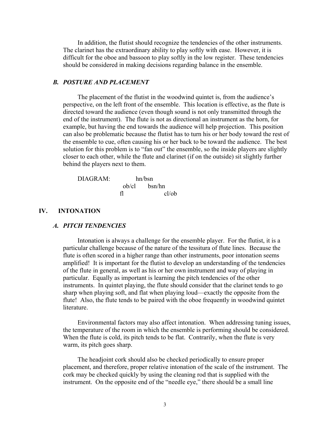In addition, the flutist should recognize the tendencies of the other instruments. The clarinet has the extraordinary ability to play softly with ease. However, it is difficult for the oboe and bassoon to play softly in the low register. These tendencies should be considered in making decisions regarding balance in the ensemble.

#### *B. POSTURE AND PLACEMENT*

The placement of the flutist in the woodwind quintet is, from the audience's perspective, on the left front of the ensemble. This location is effective, as the flute is directed toward the audience (even though sound is not only transmitted through the end of the instrument). The flute is not as directional an instrument as the horn, for example, but having the end towards the audience will help projection. This position can also be problematic because the flutist has to turn his or her body toward the rest of the ensemble to cue, often causing his or her back to be toward the audience. The best solution for this problem is to "fan out" the ensemble, so the inside players are slightly closer to each other, while the flute and clarinet (if on the outside) sit slightly further behind the players next to them.

| DIAGRAM: | hn/bsn |                  |
|----------|--------|------------------|
|          |        | $ob/cl$ $bsn/hn$ |
|          |        | cl/ob            |

# **IV. INTONATION**

#### *A. PITCH TENDENCIES*

Intonation is always a challenge for the ensemble player. For the flutist, it is a particular challenge because of the nature of the tessitura of flute lines. Because the flute is often scored in a higher range than other instruments, poor intonation seems amplified! It is important for the flutist to develop an understanding of the tendencies of the flute in general, as well as his or her own instrument and way of playing in particular. Equally as important is learning the pitch tendencies of the other instruments. In quintet playing, the flute should consider that the clarinet tends to go sharp when playing soft, and flat when playing loud—exactly the opposite from the flute! Also, the flute tends to be paired with the oboe frequently in woodwind quintet **literature** 

Environmental factors may also affect intonation. When addressing tuning issues, the temperature of the room in which the ensemble is performing should be considered. When the flute is cold, its pitch tends to be flat. Contrarily, when the flute is very warm, its pitch goes sharp.

The headjoint cork should also be checked periodically to ensure proper placement, and therefore, proper relative intonation of the scale of the instrument. The cork may be checked quickly by using the cleaning rod that is supplied with the instrument. On the opposite end of the "needle eye," there should be a small line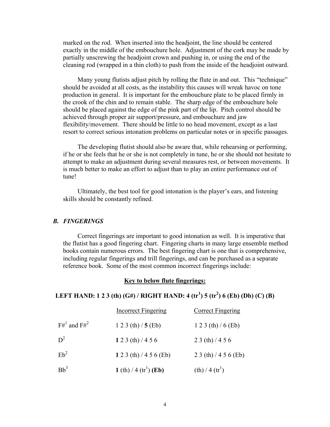marked on the rod. When inserted into the headjoint, the line should be centered exactly in the middle of the embouchure hole. Adjustment of the cork may be made by partially unscrewing the headjoint crown and pushing in, or using the end of the cleaning rod (wrapped in a thin cloth) to push from the inside of the headjoint outward.

Many young flutists adjust pitch by rolling the flute in and out. This "technique" should be avoided at all costs, as the instability this causes will wreak havoc on tone production in general. It is important for the embouchure plate to be placed firmly in the crook of the chin and to remain stable. The sharp edge of the embouchure hole should be placed against the edge of the pink part of the lip. Pitch control should be achieved through proper air support/pressure, and embouchure and jaw flexibility/movement. There should be little to no head movement, except as a last resort to correct serious intonation problems on particular notes or in specific passages.

The developing flutist should also be aware that, while rehearsing or performing, if he or she feels that he or she is not completely in tune, he or she should not hesitate to attempt to make an adjustment during several measures rest, or between movements. It is much better to make an effort to adjust than to play an entire performance out of tune!

Ultimately, the best tool for good intonation is the player's ears, and listening skills should be constantly refined.

#### *B. FINGERINGS*

Correct fingerings are important to good intonation as well. It is imperative that the flutist has a good fingering chart. Fingering charts in many large ensemble method books contain numerous errors. The best fingering chart is one that is comprehensive, including regular fingerings and trill fingerings, and can be purchased as a separate reference book. Some of the most common incorrect fingerings include:

#### **Key to below flute fingerings:**

# **LEFT HAND:** 1 2 3 (th) (G#) / RIGHT HAND: 4 (tr<sup>1</sup>) 5 (tr<sup>2</sup>) 6 (Eb) (Db) (C) (B)

|                   | <b>Incorrect Fingering</b>         | <b>Correct Fingering</b>    |
|-------------------|------------------------------------|-----------------------------|
| $F#^1$ and $F#^2$ | $123$ (th) $/5$ (Eb)               | 123(h)/6(Eb)                |
| $D^2$             | 1 2 3 (th) $/4$ 5 6                | $23$ (th) / 4 5 6           |
| $Eb^2$            | 1 2 3 (th) $/$ 4 5 6 (Eb)          | $23$ (th) / 4 5 6 (Eb)      |
| Bb <sup>3</sup>   | 1 (th) / 4 (tr <sup>1</sup> ) (Eb) | (th) / 4 (tr <sup>1</sup> ) |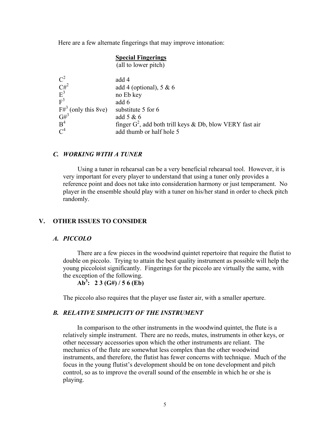Here are a few alternate fingerings that may improve intonation:

|                                                             | <b>Special Fingerings</b>                                   |
|-------------------------------------------------------------|-------------------------------------------------------------|
|                                                             | (all to lower pitch)                                        |
| $C^2$                                                       | add 4                                                       |
| $\frac{C\#^2}{E^3}$                                         | add 4 (optional), $5 & 6$                                   |
|                                                             | no Eb key                                                   |
| $F^3$                                                       | add 6                                                       |
| $F#^3$ (only this 8ve)<br>G# <sup>3</sup><br>B <sup>4</sup> | substitute 5 for 6                                          |
|                                                             | add $5 & 6$                                                 |
|                                                             | finger $G^2$ , add both trill keys & Db, blow VERY fast air |
| $C^4$                                                       | add thumb or half hole 5                                    |

#### *C. WORKING WITH A TUNER*

Using a tuner in rehearsal can be a very beneficial rehearsal tool. However, it is very important for every player to understand that using a tuner only provides a reference point and does not take into consideration harmony or just temperament. No player in the ensemble should play with a tuner on his/her stand in order to check pitch randomly.

#### **V. OTHER ISSUES TO CONSIDER**

#### *A. PICCOLO*

 There are a few pieces in the woodwind quintet repertoire that require the flutist to double on piccolo. Trying to attain the best quality instrument as possible will help the young piccoloist significantly. Fingerings for the piccolo are virtually the same, with the exception of the following.

**Ab3 : 2 3 (G#) / 5 6 (Eb)** 

The piccolo also requires that the player use faster air, with a smaller aperture.

#### *B. RELATIVE SIMPLICITY OF THE INSTRUMENT*

In comparison to the other instruments in the woodwind quintet, the flute is a relatively simple instrument. There are no reeds, mutes, instruments in other keys, or other necessary accessories upon which the other instruments are reliant. The mechanics of the flute are somewhat less complex than the other woodwind instruments, and therefore, the flutist has fewer concerns with technique. Much of the focus in the young flutist's development should be on tone development and pitch control, so as to improve the overall sound of the ensemble in which he or she is playing.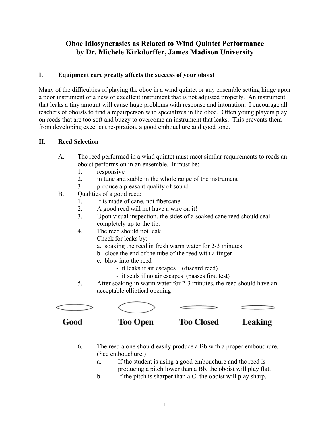# **Oboe Idiosyncrasies as Related to Wind Quintet Performance by Dr. Michele Kirkdorffer, James Madison University**

# **I. Equipment care greatly affects the success of your oboist**

Many of the difficulties of playing the oboe in a wind quintet or any ensemble setting hinge upon a poor instrument or a new or excellent instrument that is not adjusted properly. An instrument that leaks a tiny amount will cause huge problems with response and intonation. I encourage all teachers of oboists to find a repairperson who specializes in the oboe. Often young players play on reeds that are too soft and buzzy to overcome an instrument that leaks. This prevents them from developing excellent respiration, a good embouchure and good tone.

# **II. Reed Selection**

- A. The reed performed in a wind quintet must meet similar requirements to reeds an oboist performs on in an ensemble. It must be:
	- 1. responsive
	- 2. in tune and stable in the whole range of the instrument
	- 3 produce a pleasant quality of sound
- B. Qualities of a good reed:
	- 1. It is made of cane, not fibercane.
	- 2. A good reed will not have a wire on it!
	- 3. Upon visual inspection, the sides of a soaked cane reed should seal completely up to the tip.
	- 4. The reed should not leak.
		- Check for leaks by:
		- a. soaking the reed in fresh warm water for 2-3 minutes
		- b. close the end of the tube of the reed with a finger
		- c. blow into the reed
			- it leaks if air escapes (discard reed)
			- it seals if no air escapes (passes first test)
	- 5. After soaking in warm water for 2-3 minutes, the reed should have an acceptable elliptical opening:



Good

**Too Open** 

**Too Closed** 

**Leaking** 

- 6. The reed alone should easily produce a Bb with a proper embouchure. (See embouchure.)
	- a. If the student is using a good embouchure and the reed is producing a pitch lower than a Bb, the oboist will play flat.
	- b. If the pitch is sharper than a C, the oboist will play sharp.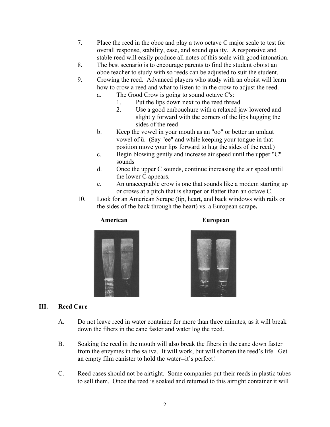- 7. Place the reed in the oboe and play a two octave C major scale to test for overall response, stability, ease, and sound quality. A responsive and stable reed will easily produce all notes of this scale with good intonation.
- 8. The best scenario is to encourage parents to find the student oboist an oboe teacher to study with so reeds can be adjusted to suit the student.
- 9. Crowing the reed. Advanced players who study with an oboist will learn how to crow a reed and what to listen to in the crow to adjust the reed.
	- a. The Good Crow is going to sound octave C's:
		- 1. Put the lips down next to the reed thread
		- 2. Use a good embouchure with a relaxed jaw lowered and slightly forward with the corners of the lips hugging the sides of the reed
	- b. Keep the vowel in your mouth as an "oo" or better an umlaut vowel of ü. (Say "ee" and while keeping your tongue in that position move your lips forward to hug the sides of the reed.)
	- c. Begin blowing gently and increase air speed until the upper "C" sounds
	- d. Once the upper C sounds, continue increasing the air speed until the lower C appears.
	- e. An unacceptable crow is one that sounds like a modem starting up or crows at a pitch that is sharper or flatter than an octave C.
- 10. Look for an American Scrape (tip, heart, and back windows with rails on the sides of the back through the heart) vs. a European scrape**.**

# **American European**





# **III. Reed Care**

- A. Do not leave reed in water container for more than three minutes, as it will break down the fibers in the cane faster and water log the reed.
- B. Soaking the reed in the mouth will also break the fibers in the cane down faster from the enzymes in the saliva. It will work, but will shorten the reed's life. Get an empty film canister to hold the water--it's perfect!
- C. Reed cases should not be airtight. Some companies put their reeds in plastic tubes to sell them. Once the reed is soaked and returned to this airtight container it will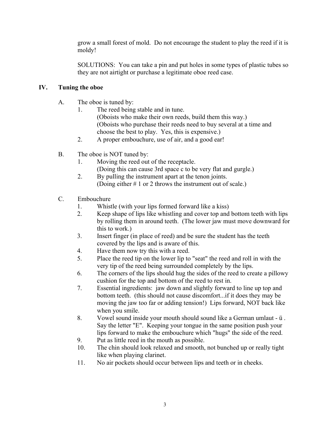grow a small forest of mold. Do not encourage the student to play the reed if it is moldy!

SOLUTIONS: You can take a pin and put holes in some types of plastic tubes so they are not airtight or purchase a legitimate oboe reed case.

# **IV. Tuning the oboe**

- A. The oboe is tuned by:
	- 1. The reed being stable and in tune. (Oboists who make their own reeds, build them this way.) (Oboists who purchase their reeds need to buy several at a time and choose the best to play. Yes, this is expensive.)
	- 2. A proper embouchure, use of air, and a good ear!
- B. The oboe is NOT tuned by:
	- 1. Moving the reed out of the receptacle.
		- (Doing this can cause 3rd space c to be very flat and gurgle.)
	- 2. By pulling the instrument apart at the tenon joints. (Doing either # 1 or 2 throws the instrument out of scale.)
- C. Embouchure
	- 1. Whistle (with your lips formed forward like a kiss)
	- 2. Keep shape of lips like whistling and cover top and bottom teeth with lips by rolling them in around teeth. (The lower jaw must move downward for this to work.)
	- 3. Insert finger (in place of reed) and be sure the student has the teeth covered by the lips and is aware of this.
	- 4. Have them now try this with a reed.
	- 5. Place the reed tip on the lower lip to "seat" the reed and roll in with the very tip of the reed being surrounded completely by the lips.
	- 6. The corners of the lips should hug the sides of the reed to create a pillowy cushion for the top and bottom of the reed to rest in.
	- 7. Essential ingredients: jaw down and slightly forward to line up top and bottom teeth. (this should not cause discomfort...if it does they may be moving the jaw too far or adding tension!) Lips forward, NOT back like when you smile.
	- 8. Vowel sound inside your mouth should sound like a German umlaut ü . Say the letter "E". Keeping your tongue in the same position push your lips forward to make the embouchure which "hugs" the side of the reed.
	- 9. Put as little reed in the mouth as possible.
	- 10. The chin should look relaxed and smooth, not bunched up or really tight like when playing clarinet.
	- 11. No air pockets should occur between lips and teeth or in cheeks.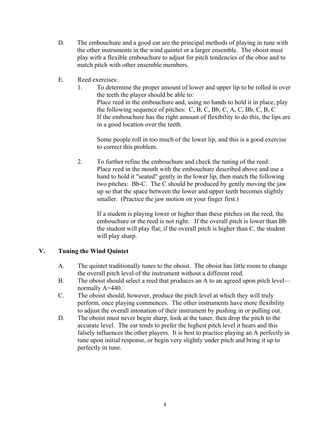- D. The embouchure and a good ear are the principal methods of playing in tune with the other instruments in the wind quintet or a larger ensemble. The oboist must play with a flexible embouchure to adjust for pitch tendencies of the oboe and to match pitch with other ensemble members.
- E. Reed exercises:
	- 1. To determine the proper amount of lower and upper lip to be rolled in over the teeth the player should be able to: Place reed in the embouchure and, using no hands to hold it in place, play the following sequence of pitches: C, B, C, Bb, C, A, C, Bb, C, B, C If the embouchure has the right amount of flexibility to do this, the lips are in a good location over the teeth.

Some people roll in too much of the lower lip, and this is a good exercise to correct this problem.

2. To further refine the embouchure and check the tuning of the reed: Place reed in the mouth with the embouchure described above and use a hand to hold it "seated" gently in the lower lip, then match the following two pitches: Bb-C. The C should be produced by gently moving the jaw up so that the space between the lower and upper teeth becomes slightly smaller. (Practice the jaw motion on your finger first.)

If a student is playing lower or higher than these pitches on the reed, the embouchure or the reed is not right. If the overall pitch is lower than Bb the student will play flat; if the overall pitch is higher than C, the student will play sharp.

# **V. Tuning the Wind Quintet**

- A. The quintet traditionally tunes to the oboist. The oboist has little room to change the overall pitch level of the instrument without a different reed.
- B. The oboist should select a reed that produces an A to an agreed upon pitch level normally A=440.
- C. The oboist should, however, produce the pitch level at which they will truly perform, once playing commences. The other instruments have more flexibility to adjust the overall intonation of their instrument by pushing in or pulling out.
- D. The oboist must never begin sharp, look at the tuner, then drop the pitch to the accurate level. The ear tends to prefer the highest pitch level it hears and this falsely influences the other players. It is best to practice playing an A perfectly in tune upon initial response, or begin very slightly under pitch and bring it up to perfectly in tune.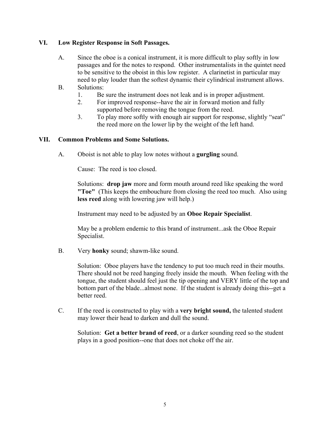# **VI. Low Register Response in Soft Passages.**

- A. Since the oboe is a conical instrument, it is more difficult to play softly in low passages and for the notes to respond. Other instrumentalists in the quintet need to be sensitive to the oboist in this low register. A clarinetist in particular may need to play louder than the softest dynamic their cylindrical instrument allows. B. Solutions:
	- 1. Be sure the instrument does not leak and is in proper adjustment.
	- 2. For improved response--have the air in forward motion and fully supported before removing the tongue from the reed.
	- 3. To play more softly with enough air support for response, slightly "seat" the reed more on the lower lip by the weight of the left hand.

# **VII. Common Problems and Some Solutions.**

A. Oboist is not able to play low notes without a **gurgling** sound.

Cause: The reed is too closed.

Solutions: **drop jaw** more and form mouth around reed like speaking the word **"Toe"** (This keeps the embouchure from closing the reed too much. Also using **less reed** along with lowering jaw will help.)

Instrument may need to be adjusted by an **Oboe Repair Specialist**.

May be a problem endemic to this brand of instrument...ask the Oboe Repair Specialist.

B. Very **honky** sound; shawm-like sound.

Solution: Oboe players have the tendency to put too much reed in their mouths. There should not be reed hanging freely inside the mouth. When feeling with the tongue, the student should feel just the tip opening and VERY little of the top and bottom part of the blade...almost none. If the student is already doing this--get a better reed.

C. If the reed is constructed to play with a **very bright sound,** the talented student may lower their head to darken and dull the sound.

Solution: **Get a better brand of reed**, or a darker sounding reed so the student plays in a good position--one that does not choke off the air.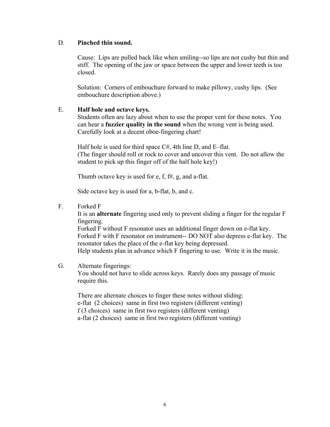# D. **Pinched thin sound.**

Cause: Lips are pulled back like when smiling--so lips are not cushy but thin and stiff. The opening of the jaw or space between the upper and lower teeth is too closed.

Solution: Corners of embouchure forward to make pillowy, cushy lips. (See embouchure description above.)

# E. **Half hole and octave keys.**

Students often are lazy about when to use the proper vent for these notes. You can hear a **fuzzier quality in the sound** when the wrong vent is being used. Carefully look at a decent oboe-fingering chart!

Half hole is used for third space C#, 4th line D, and E–flat. (The finger should roll or rock to cover and uncover this vent. Do not allow the student to pick up this finger off of the half hole key!)

Thumb octave key is used for e, f, f#, g, and a-flat.

Side octave key is used for a, b-flat, b, and c.

F. Forked F

It is an **alternate** fingering used only to prevent sliding a finger for the regular F fingering.

Forked F without F resonator uses an additional finger down on e-flat key. Forked F with F resonator on instrument-- DO NOT also depress e-flat key. The resonator takes the place of the e-flat key being depressed. Help students plan in advance which F fingering to use. Write it in the music.

G. Alternate fingerings:

You should not have to slide across keys. Rarely does any passage of music require this.

There are alternate choices to finger these notes without sliding: e-flat (2 choices) same in first two registers (different venting) f (3 choices) same in first two registers (different venting) a-flat (2 choices) same in first two registers (different venting)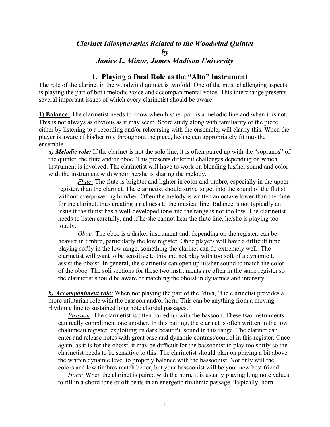# *Clarinet Idiosyncrasies Related to the Woodwind Quintet by Janice L. Minor, James Madison University*

# **1. Playing a Dual Role as the "Alto" Instrument**

The role of the clarinet in the woodwind quintet is twofold. One of the most challenging aspects is playing the part of both melodic voice and accompanimental voice. This interchange presents several important issues of which every clarinetist should be aware.

**1) Balance:** The clarinetist needs to know when his/her part is a melodic line and when it is not. This is not always as obvious as it may seem. Score study along with familiarity of the piece, either by listening to a recording and/or rehearsing with the ensemble, will clarify this. When the player is aware of his/her role throughout the piece, he/she can appropriately fit into the ensemble.

*a) Melodic role:* If the clarinet is not the solo line, it is often paired up with the "sopranos" of the quintet, the flute and/or oboe. This presents different challenges depending on which instrument is involved. The clarinetist will have to work on blending his/her sound and color with the instrument with whom he/she is sharing the melody.

*Flute:* The flute is brighter and lighter in color and timbre, especially in the upper register, than the clarinet. The clarinetist should strive to get into the sound of the flutist without overpowering him/her. Often the melody is written an octave lower than the flute for the clarinet, thus creating a richness to the musical line. Balance is not typically an issue if the flutist has a well-developed tone and the range is not too low. The clarinetist needs to listen carefully, and if he/she cannot hear the flute line, he/she is playing too loudly.

*Oboe:* The oboe is a darker instrument and, depending on the register, can be heavier in timbre, particularly the low register. Oboe players will have a difficult time playing softly in the low range, something the clarinet can do extremely well! The clarinetist will want to be sensitive to this and not play with too soft of a dynamic to assist the oboist. In general, the clarinetist can open up his/her sound to match the color of the oboe. The soli sections for these two instruments are often in the same register so the clarinetist should be aware of matching the oboist in dynamics and intensity.

*b) Accompaniment role:* When not playing the part of the "diva," the clarinetist provides a more utilitarian role with the bassoon and/or horn. This can be anything from a moving rhythmic line to sustained long note chordal passages.

*Bassoon:* The clarinetist is often paired up with the bassoon. These two instruments can really compliment one another. In this pairing, the clarinet is often written in the low chalumeau register, exploiting its dark beautiful sound in this range. The clarinet can enter and release notes with great ease and dynamic contrast/control in this register. Once again, as it is for the oboist, it may be difficult for the bassoonist to play too softly so the clarinetist needs to be sensitive to this. The clarinetist should plan on playing a bit above the written dynamic level to properly balance with the bassoonist. Not only will the colors and low timbres match better, but your bassoonist will be your new best friend!

*Horn:* When the clarinet is paired with the horn, it is usually playing long note values to fill in a chord tone or off beats in an energetic rhythmic passage. Typically, horn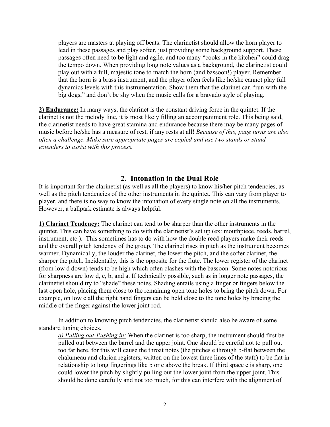players are masters at playing off beats. The clarinetist should allow the horn player to lead in these passages and play softer, just providing some background support. These passages often need to be light and agile, and too many "cooks in the kitchen" could drag the tempo down. When providing long note values as a background, the clarinetist could play out with a full, majestic tone to match the horn (and bassoon!) player. Remember that the horn is a brass instrument, and the player often feels like he/she cannot play full dynamics levels with this instrumentation. Show them that the clarinet can "run with the big dogs," and don't be shy when the music calls for a bravado style of playing.

**2) Endurance:** In many ways, the clarinet is the constant driving force in the quintet. If the clarinet is not the melody line, it is most likely filling an accompaniment role. This being said, the clarinetist needs to have great stamina and endurance because there may be many pages of music before he/she has a measure of rest, if any rests at all! *Because of this, page turns are also often a challenge. Make sure appropriate pages are copied and use two stands or stand extenders to assist with this process.* 

# **2. Intonation in the Dual Role**

It is important for the clarinetist (as well as all the players) to know his/her pitch tendencies, as well as the pitch tendencies of the other instruments in the quintet. This can vary from player to player, and there is no way to know the intonation of every single note on all the instruments. However, a ballpark estimate is always helpful.

**1) Clarinet Tendency:** The clarinet can tend to be sharper than the other instruments in the quintet. This can have something to do with the clarinetist's set up (ex: mouthpiece, reeds, barrel, instrument, etc.). This sometimes has to do with how the double reed players make their reeds and the overall pitch tendency of the group. The clarinet rises in pitch as the instrument becomes warmer. Dynamically, the louder the clarinet, the lower the pitch, and the softer clarinet, the sharper the pitch. Incidentally, this is the opposite for the flute. The lower register of the clarinet (from low d down) tends to be high which often clashes with the bassoon. Some notes notorious for sharpness are low d, c, b, and a. If technically possible, such as in longer note passages, the clarinetist should try to "shade" these notes. Shading entails using a finger or fingers below the last open hole, placing them close to the remaining open tone holes to bring the pitch down. For example, on low c all the right hand fingers can be held close to the tone holes by bracing the middle of the finger against the lower joint rod.

 In addition to knowing pitch tendencies, the clarinetist should also be aware of some standard tuning choices.

*a) Pulling out-Pushing in:* When the clarinet is too sharp, the instrument should first be pulled out between the barrel and the upper joint. One should be careful not to pull out too far here, for this will cause the throat notes (the pitches e through b-flat between the chalumeau and clarion registers, written on the lowest three lines of the staff) to be flat in relationship to long fingerings like b or c above the break. If third space c is sharp, one could lower the pitch by slightly pulling out the lower joint from the upper joint. This should be done carefully and not too much, for this can interfere with the alignment of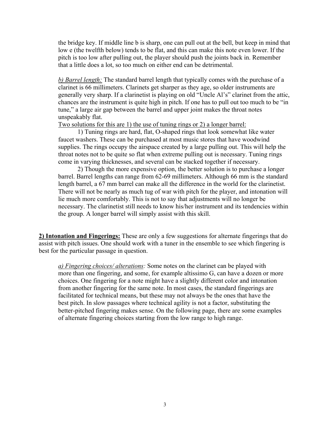the bridge key. If middle line b is sharp, one can pull out at the bell, but keep in mind that low e (the twelfth below) tends to be flat, and this can make this note even lower. If the pitch is too low after pulling out, the player should push the joints back in. Remember that a little does a lot, so too much on either end can be detrimental.

*b) Barrel length:* The standard barrel length that typically comes with the purchase of a clarinet is 66 millimeters. Clarinets get sharper as they age, so older instruments are generally very sharp. If a clarinetist is playing on old "Uncle Al's" clarinet from the attic, chances are the instrument is quite high in pitch. If one has to pull out too much to be "in tune," a large air gap between the barrel and upper joint makes the throat notes unspeakably flat.

Two solutions for this are 1) the use of tuning rings or 2) a longer barrel:

1) Tuning rings are hard, flat, O-shaped rings that look somewhat like water faucet washers. These can be purchased at most music stores that have woodwind supplies. The rings occupy the airspace created by a large pulling out. This will help the throat notes not to be quite so flat when extreme pulling out is necessary. Tuning rings come in varying thicknesses, and several can be stacked together if necessary.

2) Though the more expensive option, the better solution is to purchase a longer barrel. Barrel lengths can range from 62-69 millimeters. Although 66 mm is the standard length barrel, a 67 mm barrel can make all the difference in the world for the clarinetist. There will not be nearly as much tug of war with pitch for the player, and intonation will lie much more comfortably. This is not to say that adjustments will no longer be necessary. The clarinetist still needs to know his/her instrument and its tendencies within the group. A longer barrel will simply assist with this skill.

**2) Intonation and Fingerings:** These are only a few suggestions for alternate fingerings that do assist with pitch issues. One should work with a tuner in the ensemble to see which fingering is best for the particular passage in question.

*a) Fingering choices/ alterations:* Some notes on the clarinet can be played with more than one fingering, and some, for example altissimo G, can have a dozen or more choices. One fingering for a note might have a slightly different color and intonation from another fingering for the same note. In most cases, the standard fingerings are facilitated for technical means, but these may not always be the ones that have the best pitch. In slow passages where technical agility is not a factor, substituting the better-pitched fingering makes sense. On the following page, there are some examples of alternate fingering choices starting from the low range to high range.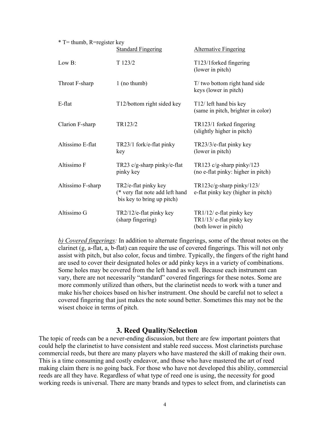| $*$ T= thumb, R=register key |                                                                                       |                                                                                   |  |  |  |
|------------------------------|---------------------------------------------------------------------------------------|-----------------------------------------------------------------------------------|--|--|--|
|                              | <b>Standard Fingering</b>                                                             | <b>Alternative Fingering</b>                                                      |  |  |  |
| Low B:                       | T 123/2                                                                               | T123/1 forked fingering<br>(lower in pitch)                                       |  |  |  |
| Throat F-sharp               | 1 (no thumb)                                                                          | T/ two bottom right hand side<br>keys (lower in pitch)                            |  |  |  |
| E-flat                       | T12/bottom right sided key                                                            | T <sub>12</sub> / left hand bis key<br>(same in pitch, brighter in color)         |  |  |  |
| Clarion F-sharp              | TR123/2                                                                               | TR123/1 forked fingering<br>(slightly higher in pitch)                            |  |  |  |
| Altissimo E-flat             | TR23/1 fork/e-flat pinky<br>key                                                       | TR23/3/e-flat pinky key<br>(lower in pitch)                                       |  |  |  |
| Altissimo F                  | TR23 $c/g$ -sharp pinky/e-flat<br>pinky key                                           | TR123 $c/g$ -sharp pinky/123<br>(no e-flat pinky: higher in pitch)                |  |  |  |
| Altissimo F-sharp            | TR2/e-flat pinky key<br>(* very flat note add left hand<br>bis key to bring up pitch) | TR123c/g-sharp pinky/123/<br>e-flat pinky key (higher in pitch)                   |  |  |  |
| Altissimo G                  | TR2/12/e-flat pinky key<br>(sharp fingering)                                          | TR $1/12$ / e-flat pinky key<br>TR1/13/ e-flat pinky key<br>(both lower in pitch) |  |  |  |

*b) Covered fingerings:* In addition to alternate fingerings, some of the throat notes on the clarinet (g, a-flat, a, b-flat) can require the use of covered fingerings. This will not only assist with pitch, but also color, focus and timbre. Typically, the fingers of the right hand are used to cover their designated holes or add pinky keys in a variety of combinations. Some holes may be covered from the left hand as well. Because each instrument can vary, there are not necessarily "standard" covered fingerings for these notes. Some are more commonly utilized than others, but the clarinetist needs to work with a tuner and make his/her choices based on his/her instrument. One should be careful not to select a covered fingering that just makes the note sound better. Sometimes this may not be the wisest choice in terms of pitch.

# **3. Reed Quality/Selection**

The topic of reeds can be a never-ending discussion, but there are few important pointers that could help the clarinetist to have consistent and stable reed success. Most clarinetists purchase commercial reeds, but there are many players who have mastered the skill of making their own. This is a time consuming and costly endeavor, and those who have mastered the art of reed making claim there is no going back. For those who have not developed this ability, commercial reeds are all they have. Regardless of what type of reed one is using, the necessity for good working reeds is universal. There are many brands and types to select from, and clarinetists can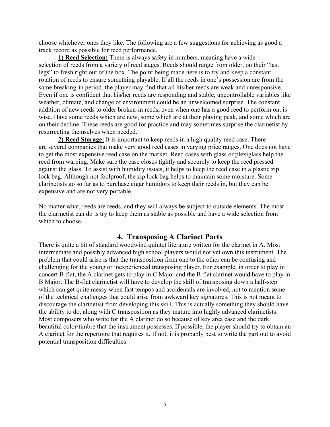choose whichever ones they like. The following are a few suggestions for achieving as good a track record as possible for reed performance.

**1) Reed Selection:** There is always safety in numbers, meaning have a wide selection of reeds from a variety of reed stages. Reeds should range from older, on their "last legs" to fresh right out of the box. The point being made here is to try and keep a constant rotation of reeds to ensure something playable. If all the reeds in one's possession are from the same breaking-in period, the player may find that all his/her reeds are weak and unresponsive. Even if one is confident that his/her reeds are responding and stable, uncontrollable variables like weather, climate, and change of environment could be an unwelcomed surprise. The constant addition of new reeds to older broken-in reeds, even when one has a good reed to perform on, is wise. Have some reeds which are new, some which are at their playing peak, and some which are on their decline. These reeds are good for practice and may sometimes surprise the clarinetist by resurrecting themselves when needed.

**2) Reed Storage:** It is important to keep reeds in a high quality reed case. There are several companies that make very good reed cases in varying price ranges. One does not have to get the most expensive reed case on the market. Reed cases with glass or plexiglass help the reed from warping. Make sure the case closes tightly and securely to keep the reed pressed against the glass. To assist with humidity issues, it helps to keep the reed case in a plastic zip lock bag. Although not foolproof, the zip lock bag helps to maintain some moisture. Some clarinetists go so far as to purchase cigar humidors to keep their reeds in, but they can be expensive and are not very portable.

No matter what, reeds are reeds, and they will always be subject to outside elements. The most the clarinetist can do is try to keep them as stable as possible and have a wide selection from which to choose.

# **4. Transposing A Clarinet Parts**

There is quite a bit of standard woodwind quintet literature written for the clarinet in A. Most intermediate and possibly advanced high school players would not yet own this instrument. The problem that could arise is that the transposition from one to the other can be confusing and challenging for the young or inexperienced transposing player. For example, in order to play in concert B-flat, the A clarinet gets to play in C Major and the B-flat clarinet would have to play in B Major. The B-flat clarinetist will have to develop the skill of transposing down a half-step which can get quite messy when fast tempos and accidentals are involved, not to mention some of the technical challenges that could arise from awkward key signatures. This is not meant to discourage the clarinetist from developing this skill. This is actually something they should have the ability to do, along with C transposition as they mature into highly advanced clarinetists. Most composers who write for the A clarinet do so because of key area ease and the dark, beautiful color/timbre that the instrument possesses. If possible, the player should try to obtain an A clarinet for the repertoire that requires it. If not, it is probably best to write the part out to avoid potential transposition difficulties.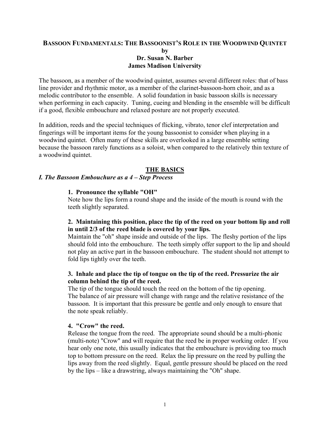# **BASSOON FUNDAMENTALS: THE BASSOONIST'S ROLE IN THE WOODWIND QUINTET by Dr. Susan N. Barber James Madison University**

The bassoon, as a member of the woodwind quintet, assumes several different roles: that of bass line provider and rhythmic motor, as a member of the clarinet-bassoon-horn choir, and as a melodic contributor to the ensemble. A solid foundation in basic bassoon skills is necessary when performing in each capacity. Tuning, cueing and blending in the ensemble will be difficult if a good, flexible embouchure and relaxed posture are not properly executed.

In addition, reeds and the special techniques of flicking, vibrato, tenor clef interpretation and fingerings will be important items for the young bassoonist to consider when playing in a woodwind quintet. Often many of these skills are overlooked in a large ensemble setting because the bassoon rarely functions as a soloist, when compared to the relatively thin texture of a woodwind quintet.

# **THE BASICS**

#### *I. The Bassoon Embouchure as a 4 – Step Process*

#### **1. Pronounce the syllable "OH"**

Note how the lips form a round shape and the inside of the mouth is round with the teeth slightly separated.

# **2. Maintaining this position, place the tip of the reed on your bottom lip and roll in until 2/3 of the reed blade is covered by your lips.**

Maintain the "oh" shape inside and outside of the lips. The fleshy portion of the lips should fold into the embouchure. The teeth simply offer support to the lip and should not play an active part in the bassoon embouchure. The student should not attempt to fold lips tightly over the teeth.

# **3. Inhale and place the tip of tongue on the tip of the reed. Pressurize the air column behind the tip of the reed.**

The tip of the tongue should touch the reed on the bottom of the tip opening. The balance of air pressure will change with range and the relative resistance of the bassoon. It is important that this pressure be gentle and only enough to ensure that the note speak reliably.

#### **4. "Crow" the reed.**

Release the tongue from the reed. The appropriate sound should be a multi-phonic (multi-note) "Crow" and will require that the reed be in proper working order. If you hear only one note, this usually indicates that the embouchure is providing too much top to bottom pressure on the reed. Relax the lip pressure on the reed by pulling the lips away from the reed slightly. Equal, gentle pressure should be placed on the reed by the lips – like a drawstring, always maintaining the "Oh" shape.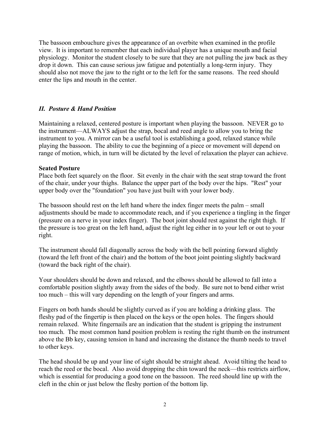The bassoon embouchure gives the appearance of an overbite when examined in the profile view. It is important to remember that each individual player has a unique mouth and facial physiology. Monitor the student closely to be sure that they are not pulling the jaw back as they drop it down. This can cause serious jaw fatigue and potentially a long-term injury. They should also not move the jaw to the right or to the left for the same reasons. The reed should enter the lips and mouth in the center.

# *II. Posture & Hand Position*

Maintaining a relaxed, centered posture is important when playing the bassoon. NEVER go to the instrument—ALWAYS adjust the strap, bocal and reed angle to allow you to bring the instrument to you. A mirror can be a useful tool is establishing a good, relaxed stance while playing the bassoon. The ability to cue the beginning of a piece or movement will depend on range of motion, which, in turn will be dictated by the level of relaxation the player can achieve.

# **Seated Posture**

Place both feet squarely on the floor. Sit evenly in the chair with the seat strap toward the front of the chair, under your thighs. Balance the upper part of the body over the hips. "Rest" your upper body over the "foundation" you have just built with your lower body.

The bassoon should rest on the left hand where the index finger meets the palm – small adjustments should be made to accommodate reach, and if you experience a tingling in the finger (pressure on a nerve in your index finger). The boot joint should rest against the right thigh. If the pressure is too great on the left hand, adjust the right leg either in to your left or out to your right.

The instrument should fall diagonally across the body with the bell pointing forward slightly (toward the left front of the chair) and the bottom of the boot joint pointing slightly backward (toward the back right of the chair).

Your shoulders should be down and relaxed, and the elbows should be allowed to fall into a comfortable position slightly away from the sides of the body. Be sure not to bend either wrist too much – this will vary depending on the length of your fingers and arms.

Fingers on both hands should be slightly curved as if you are holding a drinking glass. The fleshy pad of the fingertip is then placed on the keys or the open holes. The fingers should remain relaxed. White fingernails are an indication that the student is gripping the instrument too much. The most common hand position problem is resting the right thumb on the instrument above the Bb key, causing tension in hand and increasing the distance the thumb needs to travel to other keys.

The head should be up and your line of sight should be straight ahead. Avoid tilting the head to reach the reed or the bocal. Also avoid dropping the chin toward the neck—this restricts airflow, which is essential for producing a good tone on the bassoon. The reed should line up with the cleft in the chin or just below the fleshy portion of the bottom lip.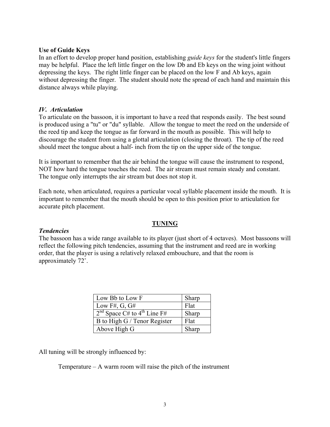#### **Use of Guide Keys**

In an effort to develop proper hand position, establishing *guide keys* for the student's little fingers may be helpful. Place the left little finger on the low Db and Eb keys on the wing joint without depressing the keys. The right little finger can be placed on the low F and Ab keys, again without depressing the finger. The student should note the spread of each hand and maintain this distance always while playing.

#### *IV. Articulation*

To articulate on the bassoon, it is important to have a reed that responds easily. The best sound is produced using a "tu" or "du" syllable. Allow the tongue to meet the reed on the underside of the reed tip and keep the tongue as far forward in the mouth as possible. This will help to discourage the student from using a glottal articulation (closing the throat). The tip of the reed should meet the tongue about a half- inch from the tip on the upper side of the tongue.

It is important to remember that the air behind the tongue will cause the instrument to respond, NOT how hard the tongue touches the reed. The air stream must remain steady and constant. The tongue only interrupts the air stream but does not stop it.

Each note, when articulated, requires a particular vocal syllable placement inside the mouth. It is important to remember that the mouth should be open to this position prior to articulation for accurate pitch placement.

# **TUNING**

#### *Tendencies*

The bassoon has a wide range available to its player (just short of 4 octaves). Most bassoons will reflect the following pitch tendencies, assuming that the instrument and reed are in working order, that the player is using a relatively relaxed embouchure, and that the room is approximately 72˚.

| Low Bb to Low F                           | Sharp |
|-------------------------------------------|-------|
| Low F#, G, $G#$                           | Flat  |
| $2nd$ Space C# to 4 <sup>th</sup> Line F# | Sharp |
| B to High G / Tenor Register              | Flat  |
| Above High G                              | Sharp |

All tuning will be strongly influenced by:

Temperature  $- A$  warm room will raise the pitch of the instrument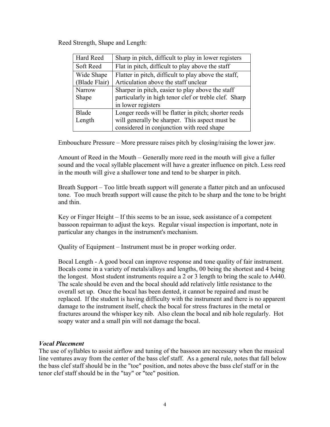Reed Strength, Shape and Length:

| Hard Reed     | Sharp in pitch, difficult to play in lower registers  |  |  |
|---------------|-------------------------------------------------------|--|--|
| Soft Reed     | Flat in pitch, difficult to play above the staff      |  |  |
| Wide Shape    | Flatter in pitch, difficult to play above the staff,  |  |  |
| (Blade Flair) | Articulation above the staff unclear                  |  |  |
| Narrow        | Sharper in pitch, easier to play above the staff      |  |  |
| Shape         | particularly in high tenor clef or treble clef. Sharp |  |  |
|               | in lower registers                                    |  |  |
| Blade         | Longer reeds will be flatter in pitch; shorter reeds  |  |  |
| Length        | will generally be sharper. This aspect must be        |  |  |
|               | considered in conjunction with reed shape             |  |  |

Embouchure Pressure – More pressure raises pitch by closing/raising the lower jaw.

Amount of Reed in the Mouth – Generally more reed in the mouth will give a fuller sound and the vocal syllable placement will have a greater influence on pitch. Less reed in the mouth will give a shallower tone and tend to be sharper in pitch.

Breath Support – Too little breath support will generate a flatter pitch and an unfocused tone. Too much breath support will cause the pitch to be sharp and the tone to be bright and thin.

Key or Finger Height – If this seems to be an issue, seek assistance of a competent bassoon repairman to adjust the keys. Regular visual inspection is important, note in particular any changes in the instrument's mechanism.

Quality of Equipment – Instrument must be in proper working order.

Bocal Length - A good bocal can improve response and tone quality of fair instrument. Bocals come in a variety of metals/alloys and lengths, 00 being the shortest and 4 being the longest. Most student instruments require a 2 or 3 length to bring the scale to A440. The scale should be even and the bocal should add relatively little resistance to the overall set up. Once the bocal has been dented, it cannot be repaired and must be replaced. If the student is having difficulty with the instrument and there is no apparent damage to the instrument itself, check the bocal for stress fractures in the metal or fractures around the whisper key nib. Also clean the bocal and nib hole regularly. Hot soapy water and a small pin will not damage the bocal.

# *Vocal Placement*

The use of syllables to assist airflow and tuning of the bassoon are necessary when the musical line ventures away from the center of the bass clef staff. As a general rule, notes that fall below the bass clef staff should be in the "toe" position, and notes above the bass clef staff or in the tenor clef staff should be in the "tay" or "tee" position.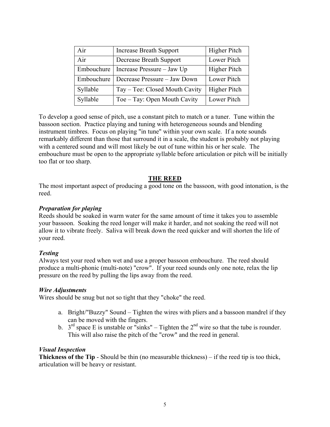| Air        | <b>Increase Breath Support</b> | <b>Higher Pitch</b> |
|------------|--------------------------------|---------------------|
| Air        | Decrease Breath Support        | Lower Pitch         |
| Embouchure | Increase Pressure – Jaw Up     | Higher Pitch        |
| Embouchure | Decrease Pressure - Jaw Down   | Lower Pitch         |
| Syllable   | Tay – Tee: Closed Mouth Cavity | Higher Pitch        |
| Syllable   | Toe – Tay: Open Mouth Cavity   | Lower Pitch         |

To develop a good sense of pitch, use a constant pitch to match or a tuner. Tune within the bassoon section. Practice playing and tuning with heterogeneous sounds and blending instrument timbres. Focus on playing "in tune" within your own scale. If a note sounds remarkably different than those that surround it in a scale, the student is probably not playing with a centered sound and will most likely be out of tune within his or her scale. The embouchure must be open to the appropriate syllable before articulation or pitch will be initially too flat or too sharp.

# **THE REED**

The most important aspect of producing a good tone on the bassoon, with good intonation, is the reed.

# *Preparation for playing*

Reeds should be soaked in warm water for the same amount of time it takes you to assemble your bassoon. Soaking the reed longer will make it harder, and not soaking the reed will not allow it to vibrate freely. Saliva will break down the reed quicker and will shorten the life of your reed.

# *Testing*

Always test your reed when wet and use a proper bassoon embouchure. The reed should produce a multi-phonic (multi-note) "crow". If your reed sounds only one note, relax the lip pressure on the reed by pulling the lips away from the reed.

# *Wire Adjustments*

Wires should be snug but not so tight that they "choke" the reed.

- a. Bright/"Buzzy" Sound Tighten the wires with pliers and a bassoon mandrel if they can be moved with the fingers.
- b.  $3<sup>rd</sup>$  space E is unstable or "sinks" Tighten the  $2<sup>nd</sup>$  wire so that the tube is rounder. This will also raise the pitch of the "crow" and the reed in general.

# *Visual Inspection*

**Thickness of the Tip** - Should be thin (no measurable thickness) – if the reed tip is too thick, articulation will be heavy or resistant.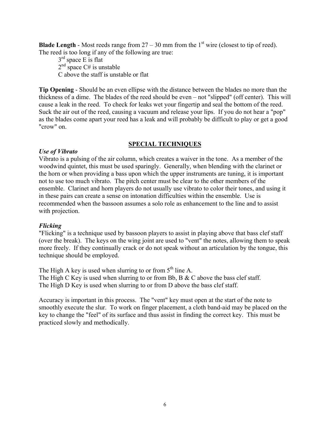**Blade Length** - Most reeds range from  $27 - 30$  mm from the 1<sup>st</sup> wire (closest to tip of reed). The reed is too long if any of the following are true:

 $3<sup>rd</sup>$  space E is flat  $2<sup>nd</sup>$  space C# is unstable C above the staff is unstable or flat

**Tip Opening** - Should be an even ellipse with the distance between the blades no more than the thickness of a dime. The blades of the reed should be even – not "slipped" (off center). This will cause a leak in the reed. To check for leaks wet your fingertip and seal the bottom of the reed. Suck the air out of the reed, causing a vacuum and release your lips. If you do not hear a "pop" as the blades come apart your reed has a leak and will probably be difficult to play or get a good "crow" on.

# **SPECIAL TECHNIQUES**

# *Use of Vibrato*

Vibrato is a pulsing of the air column, which creates a waiver in the tone. As a member of the woodwind quintet, this must be used sparingly. Generally, when blending with the clarinet or the horn or when providing a bass upon which the upper instruments are tuning, it is important not to use too much vibrato. The pitch center must be clear to the other members of the ensemble. Clarinet and horn players do not usually use vibrato to color their tones, and using it in these pairs can create a sense on intonation difficulties within the ensemble. Use is recommended when the bassoon assumes a solo role as enhancement to the line and to assist with projection.

# *Flicking*

"Flicking" is a technique used by bassoon players to assist in playing above that bass clef staff (over the break). The keys on the wing joint are used to "vent" the notes, allowing them to speak more freely. If they continually crack or do not speak without an articulation by the tongue, this technique should be employed.

The High A key is used when slurring to or from  $5<sup>th</sup>$  line A.

The High C Key is used when slurring to or from Bb, B  $&$  C above the bass clef staff. The High D Key is used when slurring to or from D above the bass clef staff.

Accuracy is important in this process. The "vent" key must open at the start of the note to smoothly execute the slur. To work on finger placement, a cloth band-aid may be placed on the key to change the "feel" of its surface and thus assist in finding the correct key. This must be practiced slowly and methodically.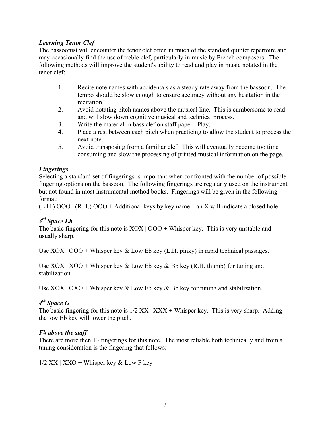# *Learning Tenor Clef*

The bassoonist will encounter the tenor clef often in much of the standard quintet repertoire and may occasionally find the use of treble clef, particularly in music by French composers. The following methods will improve the student's ability to read and play in music notated in the tenor clef:

- 1. Recite note names with accidentals as a steady rate away from the bassoon. The tempo should be slow enough to ensure accuracy without any hesitation in the recitation.
- 2. Avoid notating pitch names above the musical line. This is cumbersome to read and will slow down cognitive musical and technical process.
- 3. Write the material in bass clef on staff paper. Play.
- 4. Place a rest between each pitch when practicing to allow the student to process the next note.
- 5. Avoid transposing from a familiar clef. This will eventually become too time consuming and slow the processing of printed musical information on the page.

# *Fingerings*

Selecting a standard set of fingerings is important when confronted with the number of possible fingering options on the bassoon. The following fingerings are regularly used on the instrument but not found in most instrumental method books. Fingerings will be given in the following format:

 $(L.H.)$  OOO  $|(R.H.)$  OOO + Additional keys by key name – an X will indicate a closed hole.

# *3rd Space Eb*

The basic fingering for this note is  $XOX | OOO + Whisper$  key. This is very unstable and usually sharp.

Use  $XOX | OOO + Whisper$  key  $& Low Eb$  key (L.H. pinky) in rapid technical passages.

Use  $XOX \mid XOO + Whisper$  key  $\&$  Low Eb key  $\&$  Bb key (R.H. thumb) for tuning and stabilization.

Use  $XOX \mid OXO + Whisper$  key  $\&$  Low Eb key  $\&$  Bb key for tuning and stabilization.

# *4th Space G*

The basic fingering for this note is  $1/2$  XX | XXX + Whisper key. This is very sharp. Adding the low Eb key will lower the pitch.

# *F# above the staff*

There are more then 13 fingerings for this note. The most reliable both technically and from a tuning consideration is the fingering that follows:

 $1/2$  XX | XXO + Whisper key & Low F key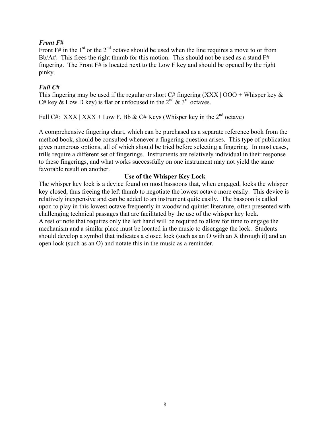# *Front F#*

Front F# in the  $1<sup>st</sup>$  or the  $2<sup>nd</sup>$  octave should be used when the line requires a move to or from Bb/A#. This frees the right thumb for this motion. This should not be used as a stand F# fingering. The Front F# is located next to the Low F key and should be opened by the right pinky.

# *Full C#*

This fingering may be used if the regular or short C# fingering  $(XXX | 000 + Whisper$  key  $\&$ C# key  $\&$  Low D key) is flat or unfocused in the  $2^{nd} \& 3^{rd}$  octaves.

Full C#: XXX | XXX + Low F, Bb & C# Keys (Whisper key in the  $2^{nd}$  octave)

A comprehensive fingering chart, which can be purchased as a separate reference book from the method book, should be consulted whenever a fingering question arises. This type of publication gives numerous options, all of which should be tried before selecting a fingering. In most cases, trills require a different set of fingerings. Instruments are relatively individual in their response to these fingerings, and what works successfully on one instrument may not yield the same favorable result on another.

# **Use of the Whisper Key Lock**

The whisper key lock is a device found on most bassoons that, when engaged, locks the whisper key closed, thus freeing the left thumb to negotiate the lowest octave more easily. This device is relatively inexpensive and can be added to an instrument quite easily. The bassoon is called upon to play in this lowest octave frequently in woodwind quintet literature, often presented with challenging technical passages that are facilitated by the use of the whisper key lock. A rest or note that requires only the left hand will be required to allow for time to engage the mechanism and a similar place must be located in the music to disengage the lock. Students should develop a symbol that indicates a closed lock (such as an O with an X through it) and an open lock (such as an O) and notate this in the music as a reminder.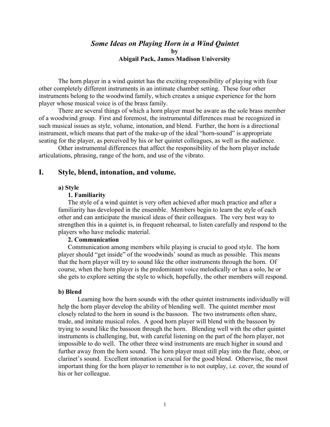# *Some Ideas on Playing Horn in a Wind Quintet*  **by Abigail Pack, James Madison University**

The horn player in a wind quintet has the exciting responsibility of playing with four other completely different instruments in an intimate chamber setting. These four other instruments belong to the woodwind family, which creates a unique experience for the horn player whose musical voice is of the brass family.

There are several things of which a horn player must be aware as the sole brass member of a woodwind group. First and foremost, the instrumental differences must be recognized in such musical issues as style, volume, intonation, and blend. Further, the horn is a directional instrument, which means that part of the make-up of the ideal "horn-sound" is appropriate seating for the player, as perceived by his or her quintet colleagues, as well as the audience.

Other instrumental differences that affect the responsibility of the horn player include articulations, phrasing, range of the horn, and use of the vibrato.

# **I. Style, blend, intonation, and volume.**

# **a) Style**

#### **1. Familiarity**

The style of a wind quintet is very often achieved after much practice and after a familiarity has developed in the ensemble. Members begin to learn the style of each other and can anticipate the musical ideas of their colleagues. The very best way to strengthen this in a quintet is, in frequent rehearsal, to listen carefully and respond to the players who have melodic material.

#### **2. Communication**

Communication among members while playing is crucial to good style. The horn player should "get inside" of the woodwinds' sound as much as possible. This means that the horn player will try to sound like the other instruments through the horn. Of course, when the horn player is the predominant voice melodically or has a solo, he or she gets to explore setting the style to which, hopefully, the other members will respond.

#### **b) Blend**

Learning how the horn sounds with the other quintet instruments individually will help the horn player develop the ability of blending well. The quintet member most closely related to the horn in sound is the bassoon. The two instruments often share, trade, and imitate musical roles. A good horn player will blend with the bassoon by trying to sound like the bassoon through the horn. Blending well with the other quintet instruments is challenging, but, with careful listening on the part of the horn player, not impossible to do well. The other three wind instruments are much higher in sound and further away from the horn sound. The horn player must still play into the flute, oboe, or clarinet's sound. Excellent intonation is crucial for the good blend. Otherwise, the most important thing for the horn player to remember is to not outplay, i.e. cover, the sound of his or her colleague.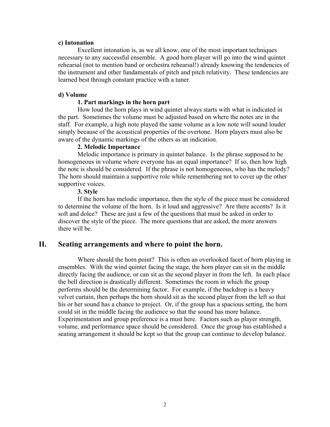#### **c) Intonation**

Excellent intonation is, as we all know, one of the most important techniques necessary to any successful ensemble. A good horn player will go into the wind quintet rehearsal (not to mention band or orchestra rehearsal!) already knowing the tendencies of the instrument and other fundamentals of pitch and pitch relativity. These tendencies are learned best through constant practice with a tuner.

#### **d) Volume**

#### **1. Part markings in the horn part**

How loud the horn plays in wind quintet always starts with what is indicated in the part. Sometimes the volume must be adjusted based on where the notes are in the staff. For example, a high note played the same volume as a low note will sound louder simply because of the acoustical properties of the overtone. Horn players must also be aware of the dynamic markings of the others as an indication.

#### **2. Melodic Importance**

Melodic importance is primary in quintet balance. Is the phrase supposed to be homogeneous in volume where everyone has an equal importance? If so, then how high the note is should be considered. If the phrase is not homogeneous, who has the melody? The horn should maintain a supportive role while remembering not to cover up the other supportive voices.

#### **3. Style**

If the horn has melodic importance, then the style of the piece must be considered to determine the volume of the horn. Is it loud and aggressive? Are there accents? Is it soft and dolce? These are just a few of the questions that must be asked in order to discover the style of the piece. The more questions that are asked, the more answers there will be.

# **II. Seating arrangements and where to point the horn.**

Where should the horn point? This is often an overlooked facet of horn playing in ensembles. With the wind quintet facing the stage, the horn player can sit in the middle directly facing the audience, or can sit as the second player in from the left. In each place the bell direction is drastically different. Sometimes the room in which the group performs should be the determining factor. For example, if the backdrop is a heavy velvet curtain, then perhaps the horn should sit as the second player from the left so that his or her sound has a chance to project. Or, if the group has a spacious setting, the horn could sit in the middle facing the audience so that the sound has more balance. Experimentation and group preference is a must here. Factors such as player strength, volume, and performance space should be considered. Once the group has established a seating arrangement it should be kept so that the group can continue to develop balance.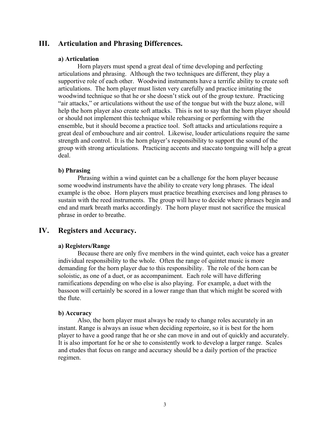# **III. Articulation and Phrasing Differences.**

#### **a) Articulation**

Horn players must spend a great deal of time developing and perfecting articulations and phrasing. Although the two techniques are different, they play a supportive role of each other. Woodwind instruments have a terrific ability to create soft articulations. The horn player must listen very carefully and practice imitating the woodwind technique so that he or she doesn't stick out of the group texture. Practicing "air attacks," or articulations without the use of the tongue but with the buzz alone, will help the horn player also create soft attacks. This is not to say that the horn player should or should not implement this technique while rehearsing or performing with the ensemble, but it should become a practice tool. Soft attacks and articulations require a great deal of embouchure and air control. Likewise, louder articulations require the same strength and control. It is the horn player's responsibility to support the sound of the group with strong articulations. Practicing accents and staccato tonguing will help a great deal.

# **b) Phrasing**

 Phrasing within a wind quintet can be a challenge for the horn player because some woodwind instruments have the ability to create very long phrases. The ideal example is the oboe. Horn players must practice breathing exercises and long phrases to sustain with the reed instruments. The group will have to decide where phrases begin and end and mark breath marks accordingly. The horn player must not sacrifice the musical phrase in order to breathe.

# **IV. Registers and Accuracy.**

# **a) Registers/Range**

Because there are only five members in the wind quintet, each voice has a greater individual responsibility to the whole. Often the range of quintet music is more demanding for the horn player due to this responsibility. The role of the horn can be soloistic, as one of a duet, or as accompaniment. Each role will have differing ramifications depending on who else is also playing. For example, a duet with the bassoon will certainly be scored in a lower range than that which might be scored with the flute.

#### **b) Accuracy**

Also, the horn player must always be ready to change roles accurately in an instant. Range is always an issue when deciding repertoire, so it is best for the horn player to have a good range that he or she can move in and out of quickly and accurately. It is also important for he or she to consistently work to develop a larger range. Scales and etudes that focus on range and accuracy should be a daily portion of the practice regimen.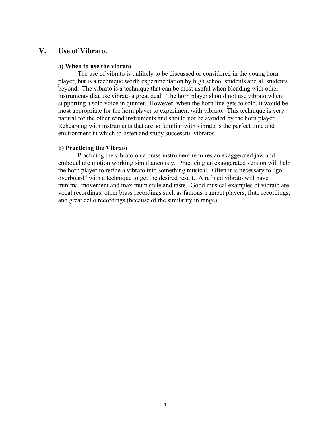# **V. Use of Vibrato.**

#### **a) When to use the vibrato**

The use of vibrato is unlikely to be discussed or considered in the young horn player, but is a technique worth experimentation by high school students and all students beyond. The vibrato is a technique that can be most useful when blending with other instruments that use vibrato a great deal. The horn player should not use vibrato when supporting a solo voice in quintet. However, when the horn line gets to solo, it would be most appropriate for the horn player to experiment with vibrato. This technique is very natural for the other wind instruments and should not be avoided by the horn player. Rehearsing with instruments that are so familiar with vibrato is the perfect time and environment in which to listen and study successful vibratos.

#### **b) Practicing the Vibrato**

Practicing the vibrato on a brass instrument requires an exaggerated jaw and embouchure motion working simultaneously. Practicing an exaggerated version will help the horn player to refine a vibrato into something musical. Often it is necessary to "go overboard" with a technique to get the desired result. A refined vibrato will have minimal movement and maximum style and taste. Good musical examples of vibrato are vocal recordings, other brass recordings such as famous trumpet players, flute recordings, and great cello recordings (because of the similarity in range).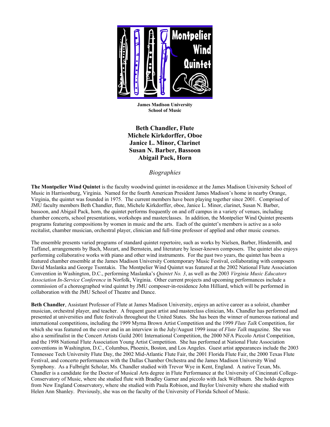

**James Madison University School of Music** 

**Beth Chandler, Flute Michele Kirkdorffer, Oboe Janice L. Minor, Clarinet Susan N. Barber, Bassoon Abigail Pack, Horn** 

*Biographies* 

**The Montpelier Wind Quintet** is the faculty woodwind quintet in-residence at the James Madison University School of Music in Harrisonburg, Virginia. Named for the fourth American President James Madison's home in nearby Orange, Virginia, the quintet was founded in 1975. The current members have been playing together since 2001. Comprised of JMU faculty members Beth Chandler, flute, Michele Kirkdorffer, oboe, Janice L. Minor, clarinet, Susan N. Barber, bassoon, and Abigail Pack, horn, the quintet performs frequently on and off campus in a variety of venues, including chamber concerts, school presentations, workshops and masterclasses. In addition, the Montpelier Wind Quintet presents programs featuring compositions by women in music and the arts. Each of the quintet's members is active as a solo recitalist, chamber musician, orchestral player, clinician and full-time professor of applied and other music courses.

The ensemble presents varied programs of standard quintet repertoire, such as works by Nielsen, Barber, Hindemith, and Taffanel, arrangements by Bach, Mozart, and Bernstein, and literature by lesser-known composers. The quintet also enjoys performing collaborative works with piano and other wind instruments. For the past two years, the quintet has been a featured chamber ensemble at the James Madison University Contemporary Music Festival, collaborating with composers David Maslanka and George Tsontakis. The Montpelier Wind Quintet was featured at the 2002 National Flute Association Convention in Washington, D.C., performing Maslanka's *Quintet No. 3*, as well as the 2003 *Virginia Music Educators Association In-Service Conference* in Norfolk, Virginia. Other current projects and upcoming performances include a commission of a choreographed wind quintet by JMU composer-in-residence John Hilliard, which will be performed in collaboration with the JMU School of Theatre and Dance.

**Beth Chandler**, Assistant Professor of Flute at James Madison University, enjoys an active career as a soloist, chamber musician, orchestral player, and teacher. A frequent guest artist and masterclass clinician, Ms. Chandler has performed and presented at universities and flute festivals throughout the United States. She has been the winner of numerous national and international competitions, including the 1999 Myrna Brown Artist Competition and the 1999 *Flute Talk* Competition, for which she was featured on the cover and in an interview in the July/August 1999 issue of *Flute Talk* magazine. She was also a semifinalist in the Concert Artists Guild 2001 International Competition, the 2000 NFA Piccolo Artist Competition, and the 1998 National Flute Association Young Artist Competition. She has performed at National Flute Association conventions in Washington, D.C., Columbus, Phoenix, Boston, and Los Angeles. Guest artist appearances include the 2003 Tennessee Tech University Flute Day, the 2002 Mid-Atlantic Flute Fair, the 2001 Florida Flute Fair, the 2000 Texas Flute Festival, and concerto performances with the Dallas Chamber Orchestra and the James Madison University Wind Symphony. As a Fulbright Scholar, Ms. Chandler studied with Trevor Wye in Kent, England. A native Texan, Ms. Chandler is a candidate for the Doctor of Musical Arts degree in Flute Performance at the University of Cincinnati College-Conservatory of Music, where she studied flute with Bradley Garner and piccolo with Jack Wellbaum. She holds degrees from New England Conservatory, where she studied with Paula Robison, and Baylor University where she studied with Helen Ann Shanley. Previously, she was on the faculty of the University of Florida School of Music.